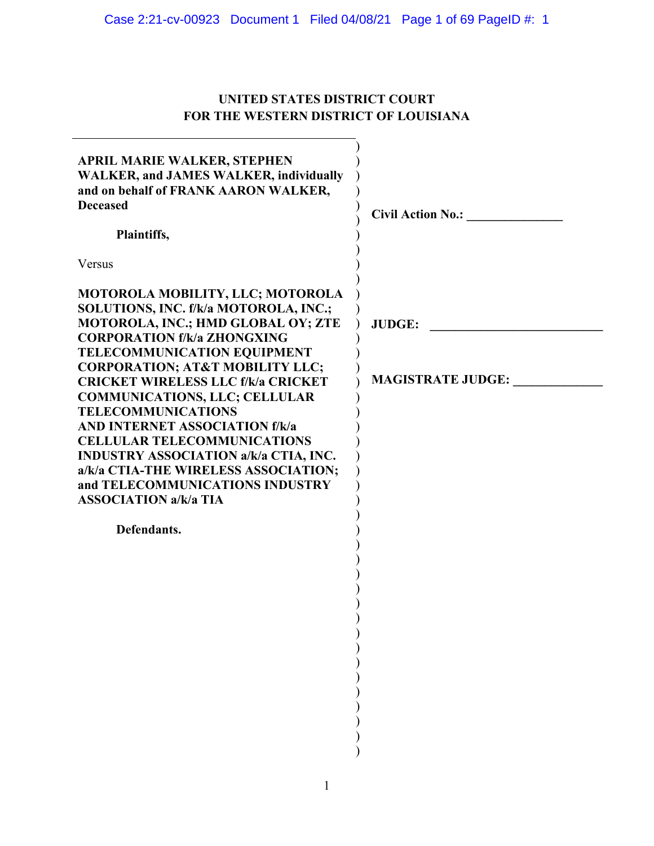# Case 2:21-cv-00923 Document 1 Filed 04/08/21 Page 1 of 69 PageID #: 1

# **UNITED STATES DISTRICT COURT FOR THE WESTERN DISTRICT OF LOUISIANA**

| <b>APRIL MARIE WALKER, STEPHEN</b><br><b>WALKER, and JAMES WALKER, individually</b><br>and on behalf of FRANK AARON WALKER,<br><b>Deceased</b><br>Plaintiffs,                                                                                                                          | <b>Civil Action No.:</b>                  |
|----------------------------------------------------------------------------------------------------------------------------------------------------------------------------------------------------------------------------------------------------------------------------------------|-------------------------------------------|
| Versus                                                                                                                                                                                                                                                                                 |                                           |
| MOTOROLA MOBILITY, LLC; MOTOROLA<br>SOLUTIONS, INC. f/k/a MOTOROLA, INC.;<br>MOTOROLA, INC.; HMD GLOBAL OY; ZTE<br><b>CORPORATION f/k/a ZHONGXING</b><br><b>TELECOMMUNICATION EQUIPMENT</b><br><b>CORPORATION; AT&amp;T MOBILITY LLC;</b><br><b>CRICKET WIRELESS LLC f/k/a CRICKET</b> | <b>JUDGE:</b><br><b>MAGISTRATE JUDGE:</b> |
| <b>COMMUNICATIONS, LLC; CELLULAR</b><br><b>TELECOMMUNICATIONS</b>                                                                                                                                                                                                                      |                                           |
| <b>AND INTERNET ASSOCIATION f/k/a</b>                                                                                                                                                                                                                                                  |                                           |
| <b>CELLULAR TELECOMMUNICATIONS</b><br><b>INDUSTRY ASSOCIATION a/k/a CTIA, INC.</b>                                                                                                                                                                                                     |                                           |
| a/k/a CTIA-THE WIRELESS ASSOCIATION;<br>and TELECOMMUNICATIONS INDUSTRY                                                                                                                                                                                                                |                                           |
| <b>ASSOCIATION a/k/a TIA</b>                                                                                                                                                                                                                                                           |                                           |
| Defendants.                                                                                                                                                                                                                                                                            |                                           |
|                                                                                                                                                                                                                                                                                        |                                           |
|                                                                                                                                                                                                                                                                                        |                                           |
|                                                                                                                                                                                                                                                                                        |                                           |
|                                                                                                                                                                                                                                                                                        |                                           |
|                                                                                                                                                                                                                                                                                        |                                           |
|                                                                                                                                                                                                                                                                                        |                                           |
|                                                                                                                                                                                                                                                                                        |                                           |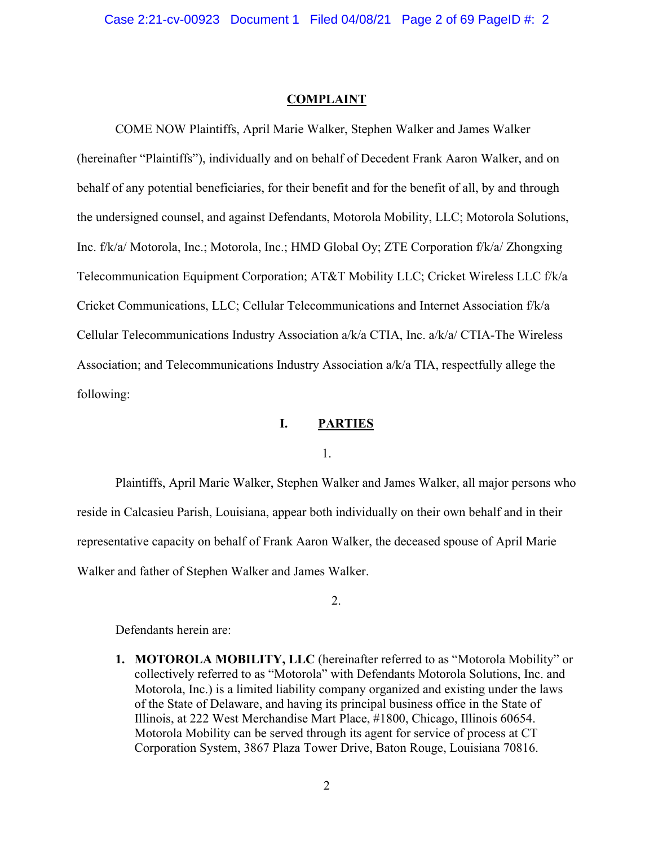#### **COMPLAINT**

COME NOW Plaintiffs, April Marie Walker, Stephen Walker and James Walker (hereinafter "Plaintiffs"), individually and on behalf of Decedent Frank Aaron Walker, and on behalf of any potential beneficiaries, for their benefit and for the benefit of all, by and through the undersigned counsel, and against Defendants, Motorola Mobility, LLC; Motorola Solutions, Inc. f/k/a/ Motorola, Inc.; Motorola, Inc.; HMD Global Oy; ZTE Corporation f/k/a/ Zhongxing Telecommunication Equipment Corporation; AT&T Mobility LLC; Cricket Wireless LLC f/k/a Cricket Communications, LLC; Cellular Telecommunications and Internet Association f/k/a Cellular Telecommunications Industry Association a/k/a CTIA, Inc. a/k/a/ CTIA-The Wireless Association; and Telecommunications Industry Association a/k/a TIA, respectfully allege the following:

## **I. PARTIES**

1.

Plaintiffs, April Marie Walker, Stephen Walker and James Walker, all major persons who reside in Calcasieu Parish, Louisiana, appear both individually on their own behalf and in their representative capacity on behalf of Frank Aaron Walker, the deceased spouse of April Marie Walker and father of Stephen Walker and James Walker.

2.

Defendants herein are:

**1. MOTOROLA MOBILITY, LLC** (hereinafter referred to as "Motorola Mobility" or collectively referred to as "Motorola" with Defendants Motorola Solutions, Inc. and Motorola, Inc.) is a limited liability company organized and existing under the laws of the State of Delaware, and having its principal business office in the State of Illinois, at 222 West Merchandise Mart Place, #1800, Chicago, Illinois 60654. Motorola Mobility can be served through its agent for service of process at CT Corporation System, 3867 Plaza Tower Drive, Baton Rouge, Louisiana 70816.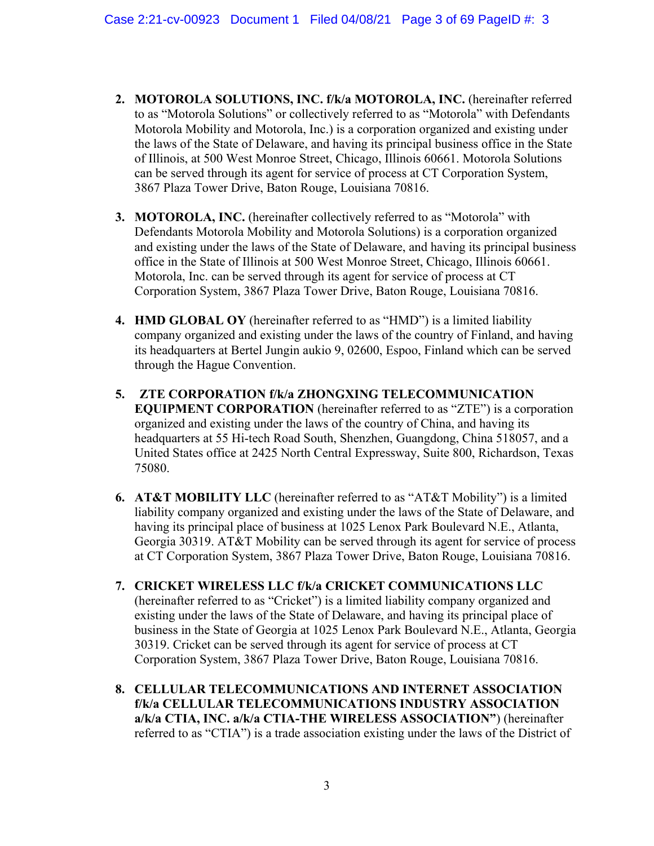- **2. MOTOROLA SOLUTIONS, INC. f/k/a MOTOROLA, INC.** (hereinafter referred to as "Motorola Solutions" or collectively referred to as "Motorola" with Defendants Motorola Mobility and Motorola, Inc.) is a corporation organized and existing under the laws of the State of Delaware, and having its principal business office in the State of Illinois, at 500 West Monroe Street, Chicago, Illinois 60661. Motorola Solutions can be served through its agent for service of process at CT Corporation System, 3867 Plaza Tower Drive, Baton Rouge, Louisiana 70816.
- **3. MOTOROLA, INC.** (hereinafter collectively referred to as "Motorola" with Defendants Motorola Mobility and Motorola Solutions) is a corporation organized and existing under the laws of the State of Delaware, and having its principal business office in the State of Illinois at 500 West Monroe Street, Chicago, Illinois 60661. Motorola, Inc. can be served through its agent for service of process at CT Corporation System, 3867 Plaza Tower Drive, Baton Rouge, Louisiana 70816.
- **4. HMD GLOBAL OY** (hereinafter referred to as "HMD") is a limited liability company organized and existing under the laws of the country of Finland, and having its headquarters at Bertel Jungin aukio 9, 02600, Espoo, Finland which can be served through the Hague Convention.
- **5. ZTE CORPORATION f/k/a ZHONGXING TELECOMMUNICATION EQUIPMENT CORPORATION** (hereinafter referred to as "ZTE") is a corporation organized and existing under the laws of the country of China, and having its headquarters at 55 Hi-tech Road South, Shenzhen, Guangdong, China 518057, and a United States office at 2425 North Central Expressway, Suite 800, Richardson, Texas 75080.
- **6. AT&T MOBILITY LLC** (hereinafter referred to as "AT&T Mobility") is a limited liability company organized and existing under the laws of the State of Delaware, and having its principal place of business at 1025 Lenox Park Boulevard N.E., Atlanta, Georgia 30319. AT&T Mobility can be served through its agent for service of process at CT Corporation System, 3867 Plaza Tower Drive, Baton Rouge, Louisiana 70816.
- **7. CRICKET WIRELESS LLC f/k/a CRICKET COMMUNICATIONS LLC** (hereinafter referred to as "Cricket") is a limited liability company organized and existing under the laws of the State of Delaware, and having its principal place of business in the State of Georgia at 1025 Lenox Park Boulevard N.E., Atlanta, Georgia 30319. Cricket can be served through its agent for service of process at CT Corporation System, 3867 Plaza Tower Drive, Baton Rouge, Louisiana 70816.
- **8. CELLULAR TELECOMMUNICATIONS AND INTERNET ASSOCIATION f/k/a CELLULAR TELECOMMUNICATIONS INDUSTRY ASSOCIATION a/k/a CTIA, INC. a/k/a CTIA-THE WIRELESS ASSOCIATION"**) (hereinafter referred to as "CTIA") is a trade association existing under the laws of the District of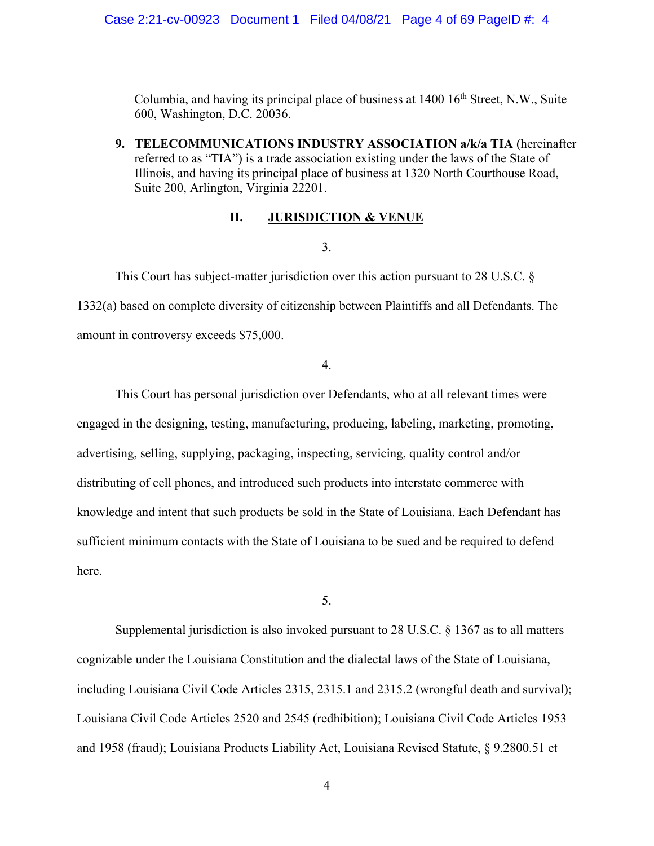Columbia, and having its principal place of business at  $1400 \, 16^{th}$  Street, N.W., Suite 600, Washington, D.C. 20036.

**9. TELECOMMUNICATIONS INDUSTRY ASSOCIATION a/k/a TIA** (hereinafter referred to as "TIA") is a trade association existing under the laws of the State of Illinois, and having its principal place of business at 1320 North Courthouse Road, Suite 200, Arlington, Virginia 22201.

### **II. JURISDICTION & VENUE**

3.

This Court has subject-matter jurisdiction over this action pursuant to 28 U.S.C. § 1332(a) based on complete diversity of citizenship between Plaintiffs and all Defendants. The amount in controversy exceeds \$75,000.

4.

This Court has personal jurisdiction over Defendants, who at all relevant times were engaged in the designing, testing, manufacturing, producing, labeling, marketing, promoting, advertising, selling, supplying, packaging, inspecting, servicing, quality control and/or distributing of cell phones, and introduced such products into interstate commerce with knowledge and intent that such products be sold in the State of Louisiana. Each Defendant has sufficient minimum contacts with the State of Louisiana to be sued and be required to defend here.

5.

Supplemental jurisdiction is also invoked pursuant to 28 U.S.C. § 1367 as to all matters cognizable under the Louisiana Constitution and the dialectal laws of the State of Louisiana, including Louisiana Civil Code Articles 2315, 2315.1 and 2315.2 (wrongful death and survival); Louisiana Civil Code Articles 2520 and 2545 (redhibition); Louisiana Civil Code Articles 1953 and 1958 (fraud); Louisiana Products Liability Act, Louisiana Revised Statute, § 9.2800.51 et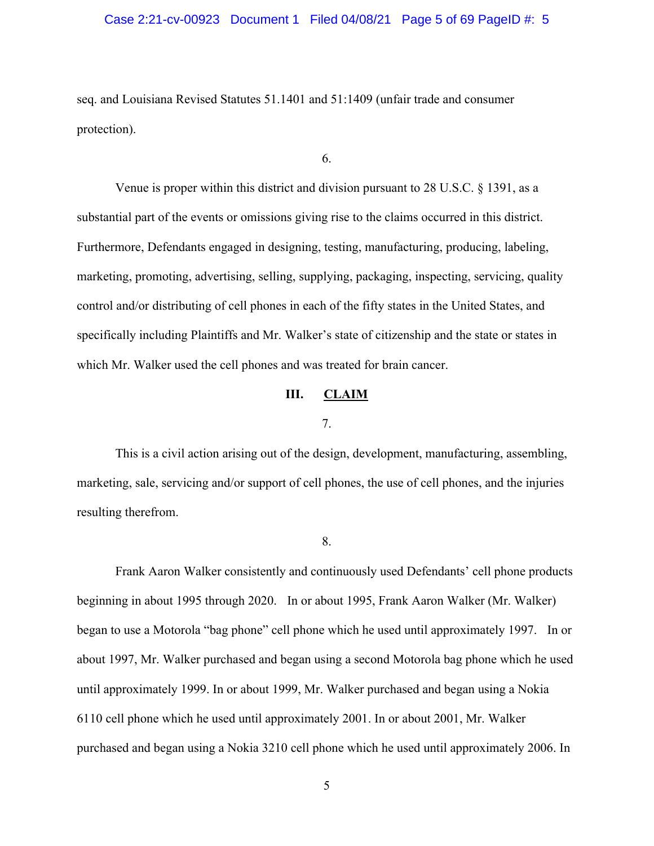### Case 2:21-cv-00923 Document 1 Filed 04/08/21 Page 5 of 69 PageID #: 5

seq. and Louisiana Revised Statutes 51.1401 and 51:1409 (unfair trade and consumer protection).

6.

Venue is proper within this district and division pursuant to 28 U.S.C. § 1391, as a substantial part of the events or omissions giving rise to the claims occurred in this district. Furthermore, Defendants engaged in designing, testing, manufacturing, producing, labeling, marketing, promoting, advertising, selling, supplying, packaging, inspecting, servicing, quality control and/or distributing of cell phones in each of the fifty states in the United States, and specifically including Plaintiffs and Mr. Walker's state of citizenship and the state or states in which Mr. Walker used the cell phones and was treated for brain cancer.

## **III. CLAIM**

## 7.

This is a civil action arising out of the design, development, manufacturing, assembling, marketing, sale, servicing and/or support of cell phones, the use of cell phones, and the injuries resulting therefrom.

8.

 Frank Aaron Walker consistently and continuously used Defendants' cell phone products beginning in about 1995 through 2020. In or about 1995, Frank Aaron Walker (Mr. Walker) began to use a Motorola "bag phone" cell phone which he used until approximately 1997. In or about 1997, Mr. Walker purchased and began using a second Motorola bag phone which he used until approximately 1999. In or about 1999, Mr. Walker purchased and began using a Nokia 6110 cell phone which he used until approximately 2001. In or about 2001, Mr. Walker purchased and began using a Nokia 3210 cell phone which he used until approximately 2006. In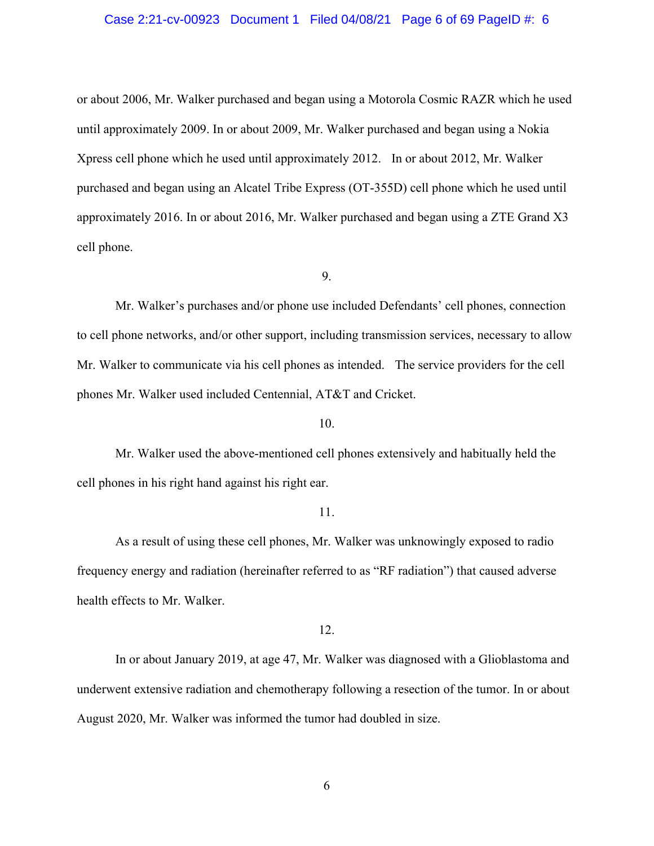#### Case 2:21-cv-00923 Document 1 Filed 04/08/21 Page 6 of 69 PageID #: 6

or about 2006, Mr. Walker purchased and began using a Motorola Cosmic RAZR which he used until approximately 2009. In or about 2009, Mr. Walker purchased and began using a Nokia Xpress cell phone which he used until approximately 2012. In or about 2012, Mr. Walker purchased and began using an Alcatel Tribe Express (OT-355D) cell phone which he used until approximately 2016. In or about 2016, Mr. Walker purchased and began using a ZTE Grand X3 cell phone.

9.

Mr. Walker's purchases and/or phone use included Defendants' cell phones, connection to cell phone networks, and/or other support, including transmission services, necessary to allow Mr. Walker to communicate via his cell phones as intended. The service providers for the cell phones Mr. Walker used included Centennial, AT&T and Cricket.

### 10.

Mr. Walker used the above-mentioned cell phones extensively and habitually held the cell phones in his right hand against his right ear.

#### 11.

As a result of using these cell phones, Mr. Walker was unknowingly exposed to radio frequency energy and radiation (hereinafter referred to as "RF radiation") that caused adverse health effects to Mr. Walker.

#### 12.

In or about January 2019, at age 47, Mr. Walker was diagnosed with a Glioblastoma and underwent extensive radiation and chemotherapy following a resection of the tumor. In or about August 2020, Mr. Walker was informed the tumor had doubled in size.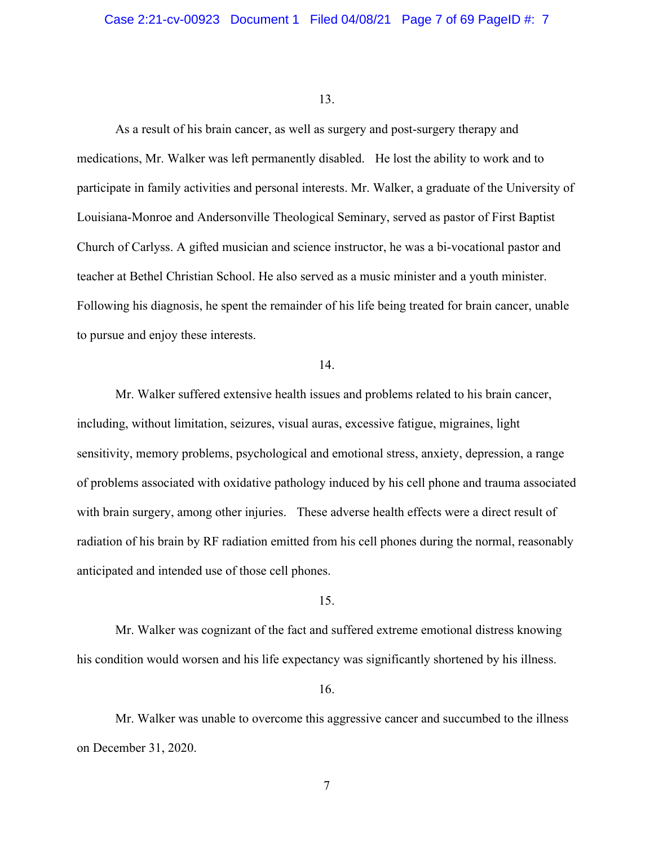As a result of his brain cancer, as well as surgery and post-surgery therapy and medications, Mr. Walker was left permanently disabled. He lost the ability to work and to participate in family activities and personal interests. Mr. Walker, a graduate of the University of Louisiana-Monroe and Andersonville Theological Seminary, served as pastor of First Baptist Church of Carlyss. A gifted musician and science instructor, he was a bi-vocational pastor and teacher at Bethel Christian School. He also served as a music minister and a youth minister. Following his diagnosis, he spent the remainder of his life being treated for brain cancer, unable to pursue and enjoy these interests.

## 14.

Mr. Walker suffered extensive health issues and problems related to his brain cancer, including, without limitation, seizures, visual auras, excessive fatigue, migraines, light sensitivity, memory problems, psychological and emotional stress, anxiety, depression, a range of problems associated with oxidative pathology induced by his cell phone and trauma associated with brain surgery, among other injuries. These adverse health effects were a direct result of radiation of his brain by RF radiation emitted from his cell phones during the normal, reasonably anticipated and intended use of those cell phones.

## 15.

Mr. Walker was cognizant of the fact and suffered extreme emotional distress knowing his condition would worsen and his life expectancy was significantly shortened by his illness.

16.

Mr. Walker was unable to overcome this aggressive cancer and succumbed to the illness on December 31, 2020.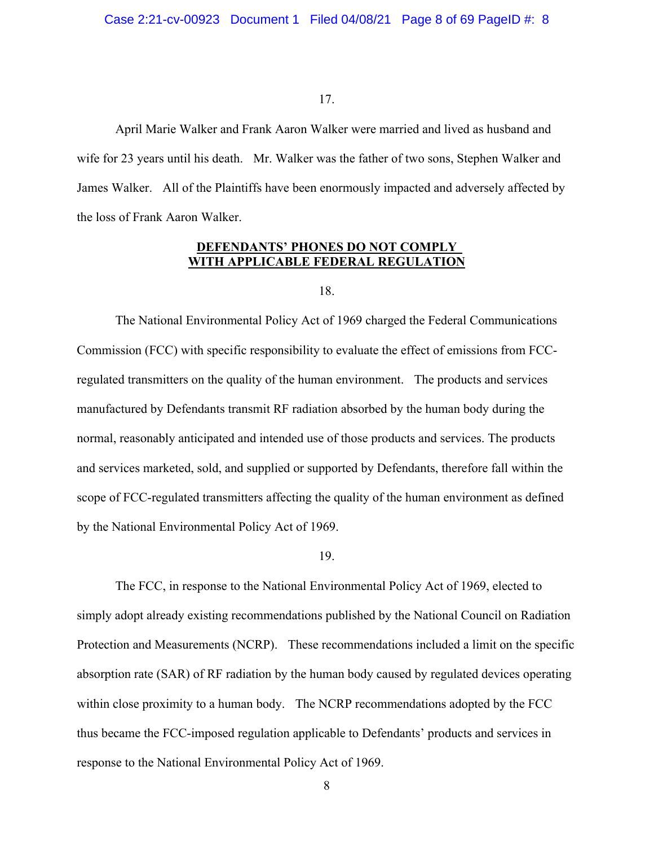April Marie Walker and Frank Aaron Walker were married and lived as husband and wife for 23 years until his death. Mr. Walker was the father of two sons, Stephen Walker and James Walker. All of the Plaintiffs have been enormously impacted and adversely affected by the loss of Frank Aaron Walker.

## **DEFENDANTS' PHONES DO NOT COMPLY WITH APPLICABLE FEDERAL REGULATION**

18.

 The National Environmental Policy Act of 1969 charged the Federal Communications Commission (FCC) with specific responsibility to evaluate the effect of emissions from FCCregulated transmitters on the quality of the human environment. The products and services manufactured by Defendants transmit RF radiation absorbed by the human body during the normal, reasonably anticipated and intended use of those products and services. The products and services marketed, sold, and supplied or supported by Defendants, therefore fall within the scope of FCC-regulated transmitters affecting the quality of the human environment as defined by the National Environmental Policy Act of 1969.

#### 19.

The FCC, in response to the National Environmental Policy Act of 1969, elected to simply adopt already existing recommendations published by the National Council on Radiation Protection and Measurements (NCRP). These recommendations included a limit on the specific absorption rate (SAR) of RF radiation by the human body caused by regulated devices operating within close proximity to a human body. The NCRP recommendations adopted by the FCC thus became the FCC-imposed regulation applicable to Defendants' products and services in response to the National Environmental Policy Act of 1969.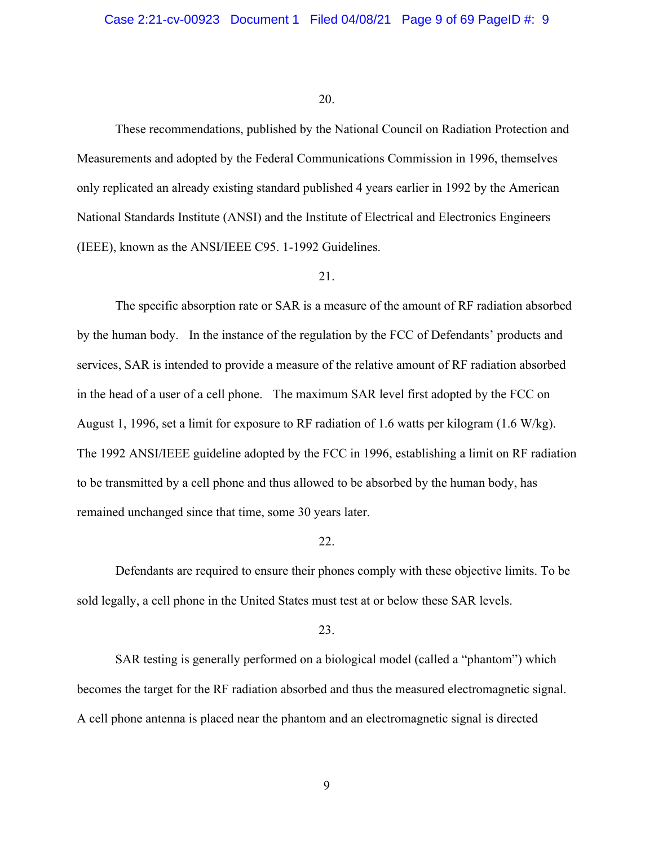These recommendations, published by the National Council on Radiation Protection and Measurements and adopted by the Federal Communications Commission in 1996, themselves only replicated an already existing standard published 4 years earlier in 1992 by the American National Standards Institute (ANSI) and the Institute of Electrical and Electronics Engineers (IEEE), known as the ANSI/IEEE C95. 1-1992 Guidelines.

#### 21.

The specific absorption rate or SAR is a measure of the amount of RF radiation absorbed by the human body. In the instance of the regulation by the FCC of Defendants' products and services, SAR is intended to provide a measure of the relative amount of RF radiation absorbed in the head of a user of a cell phone. The maximum SAR level first adopted by the FCC on August 1, 1996, set a limit for exposure to RF radiation of 1.6 watts per kilogram (1.6 W/kg). The 1992 ANSI/IEEE guideline adopted by the FCC in 1996, establishing a limit on RF radiation to be transmitted by a cell phone and thus allowed to be absorbed by the human body, has remained unchanged since that time, some 30 years later.

#### 22.

Defendants are required to ensure their phones comply with these objective limits. To be sold legally, a cell phone in the United States must test at or below these SAR levels.

## 23.

SAR testing is generally performed on a biological model (called a "phantom") which becomes the target for the RF radiation absorbed and thus the measured electromagnetic signal. A cell phone antenna is placed near the phantom and an electromagnetic signal is directed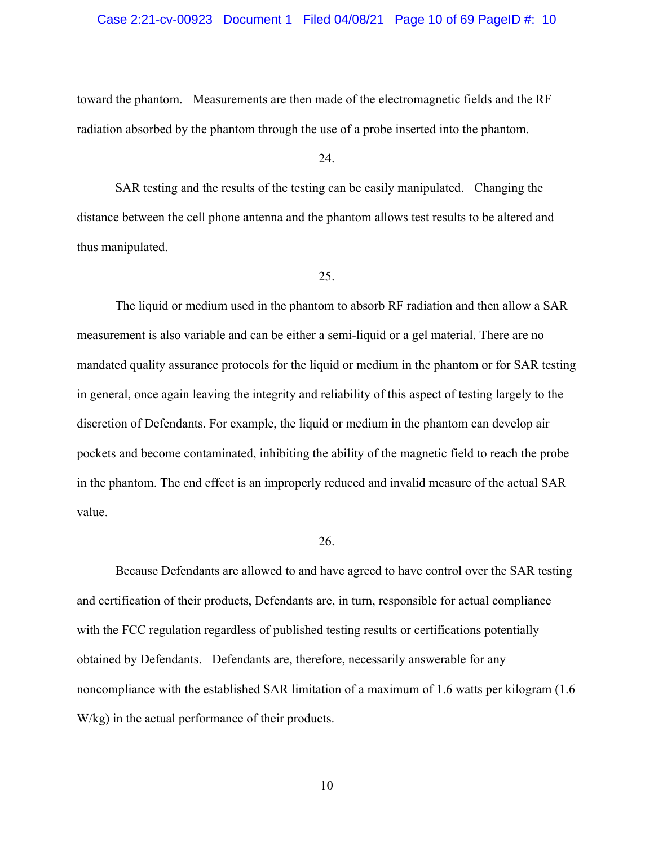### Case 2:21-cv-00923 Document 1 Filed 04/08/21 Page 10 of 69 PageID #: 10

toward the phantom. Measurements are then made of the electromagnetic fields and the RF radiation absorbed by the phantom through the use of a probe inserted into the phantom.

24.

SAR testing and the results of the testing can be easily manipulated. Changing the distance between the cell phone antenna and the phantom allows test results to be altered and thus manipulated.

## 25.

The liquid or medium used in the phantom to absorb RF radiation and then allow a SAR measurement is also variable and can be either a semi-liquid or a gel material. There are no mandated quality assurance protocols for the liquid or medium in the phantom or for SAR testing in general, once again leaving the integrity and reliability of this aspect of testing largely to the discretion of Defendants. For example, the liquid or medium in the phantom can develop air pockets and become contaminated, inhibiting the ability of the magnetic field to reach the probe in the phantom. The end effect is an improperly reduced and invalid measure of the actual SAR value.

#### 26.

 Because Defendants are allowed to and have agreed to have control over the SAR testing and certification of their products, Defendants are, in turn, responsible for actual compliance with the FCC regulation regardless of published testing results or certifications potentially obtained by Defendants. Defendants are, therefore, necessarily answerable for any noncompliance with the established SAR limitation of a maximum of 1.6 watts per kilogram (1.6 W/kg) in the actual performance of their products.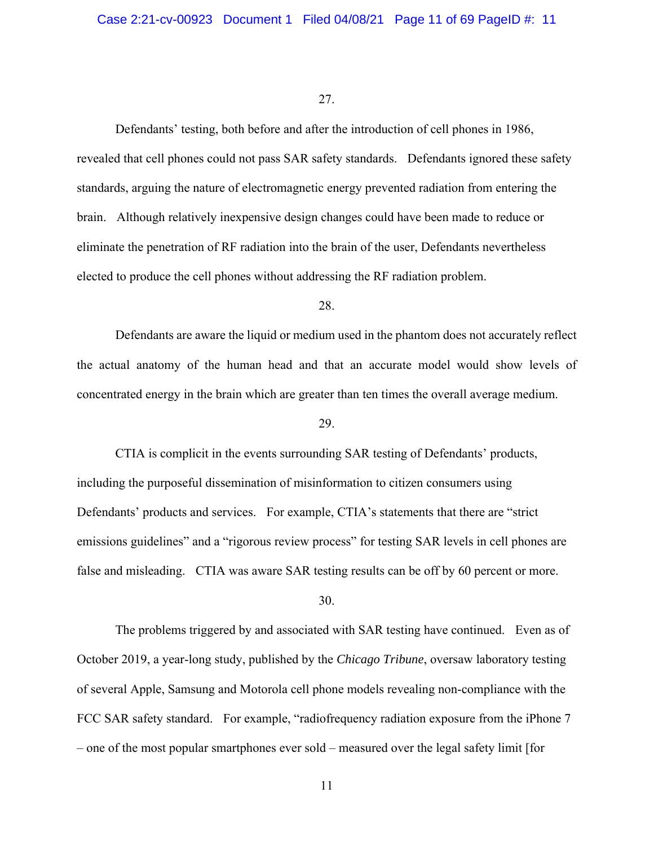Defendants' testing, both before and after the introduction of cell phones in 1986, revealed that cell phones could not pass SAR safety standards. Defendants ignored these safety standards, arguing the nature of electromagnetic energy prevented radiation from entering the brain. Although relatively inexpensive design changes could have been made to reduce or eliminate the penetration of RF radiation into the brain of the user, Defendants nevertheless elected to produce the cell phones without addressing the RF radiation problem.

## 28.

Defendants are aware the liquid or medium used in the phantom does not accurately reflect the actual anatomy of the human head and that an accurate model would show levels of concentrated energy in the brain which are greater than ten times the overall average medium.

### 29.

CTIA is complicit in the events surrounding SAR testing of Defendants' products, including the purposeful dissemination of misinformation to citizen consumers using Defendants' products and services. For example, CTIA's statements that there are "strict emissions guidelines" and a "rigorous review process" for testing SAR levels in cell phones are false and misleading. CTIA was aware SAR testing results can be off by 60 percent or more.

## 30.

The problems triggered by and associated with SAR testing have continued. Even as of October 2019, a year-long study, published by the *Chicago Tribune*, oversaw laboratory testing of several Apple, Samsung and Motorola cell phone models revealing non-compliance with the FCC SAR safety standard. For example, "radiofrequency radiation exposure from the iPhone 7 – one of the most popular smartphones ever sold – measured over the legal safety limit [for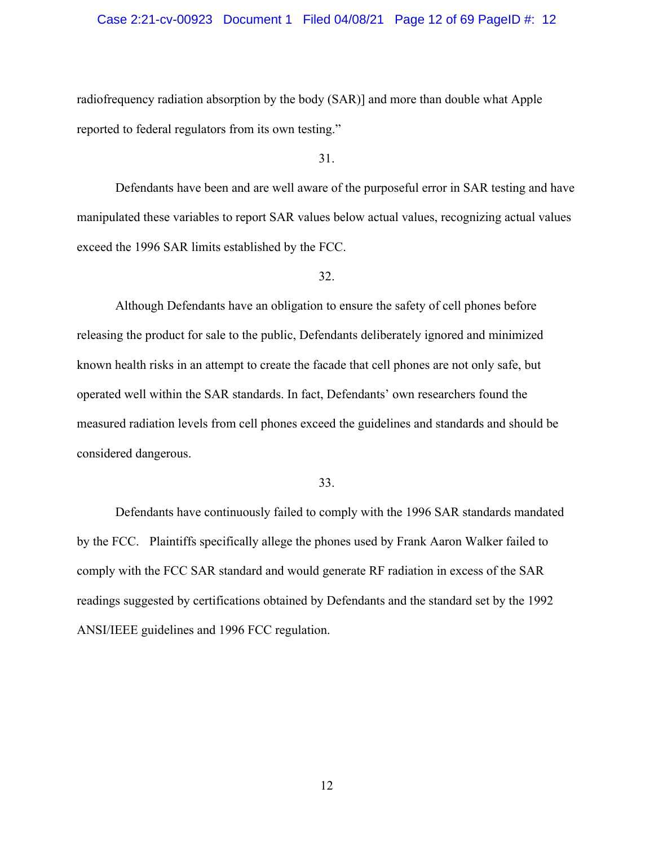### Case 2:21-cv-00923 Document 1 Filed 04/08/21 Page 12 of 69 PageID #: 12

radiofrequency radiation absorption by the body (SAR)] and more than double what Apple reported to federal regulators from its own testing."

31.

Defendants have been and are well aware of the purposeful error in SAR testing and have manipulated these variables to report SAR values below actual values, recognizing actual values exceed the 1996 SAR limits established by the FCC.

## 32.

Although Defendants have an obligation to ensure the safety of cell phones before releasing the product for sale to the public, Defendants deliberately ignored and minimized known health risks in an attempt to create the facade that cell phones are not only safe, but operated well within the SAR standards. In fact, Defendants' own researchers found the measured radiation levels from cell phones exceed the guidelines and standards and should be considered dangerous.

#### 33.

Defendants have continuously failed to comply with the 1996 SAR standards mandated by the FCC. Plaintiffs specifically allege the phones used by Frank Aaron Walker failed to comply with the FCC SAR standard and would generate RF radiation in excess of the SAR readings suggested by certifications obtained by Defendants and the standard set by the 1992 ANSI/IEEE guidelines and 1996 FCC regulation.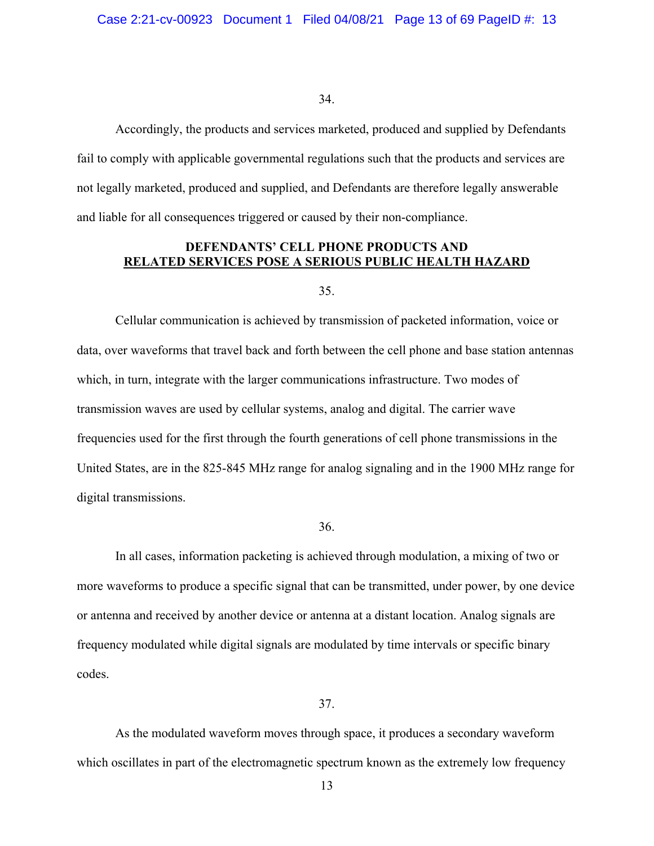Accordingly, the products and services marketed, produced and supplied by Defendants fail to comply with applicable governmental regulations such that the products and services are not legally marketed, produced and supplied, and Defendants are therefore legally answerable and liable for all consequences triggered or caused by their non-compliance.

## **DEFENDANTS' CELL PHONE PRODUCTS AND RELATED SERVICES POSE A SERIOUS PUBLIC HEALTH HAZARD**

35.

Cellular communication is achieved by transmission of packeted information, voice or data, over waveforms that travel back and forth between the cell phone and base station antennas which, in turn, integrate with the larger communications infrastructure. Two modes of transmission waves are used by cellular systems, analog and digital. The carrier wave frequencies used for the first through the fourth generations of cell phone transmissions in the United States, are in the 825-845 MHz range for analog signaling and in the 1900 MHz range for digital transmissions.

36.

In all cases, information packeting is achieved through modulation, a mixing of two or more waveforms to produce a specific signal that can be transmitted, under power, by one device or antenna and received by another device or antenna at a distant location. Analog signals are frequency modulated while digital signals are modulated by time intervals or specific binary codes.

37.

As the modulated waveform moves through space, it produces a secondary waveform which oscillates in part of the electromagnetic spectrum known as the extremely low frequency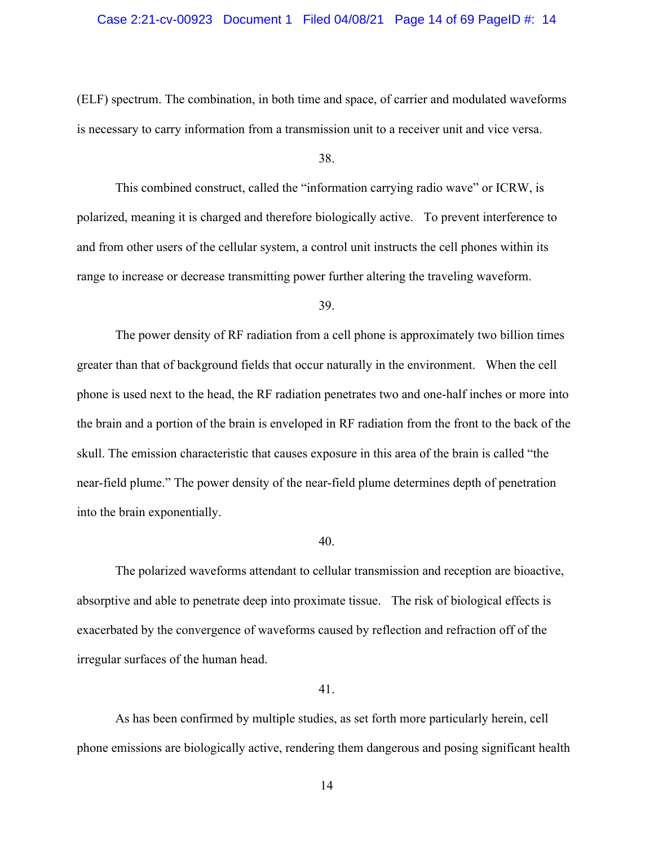### Case 2:21-cv-00923 Document 1 Filed 04/08/21 Page 14 of 69 PageID #: 14

(ELF) spectrum. The combination, in both time and space, of carrier and modulated waveforms is necessary to carry information from a transmission unit to a receiver unit and vice versa.

#### 38.

This combined construct, called the "information carrying radio wave" or ICRW, is polarized, meaning it is charged and therefore biologically active. To prevent interference to and from other users of the cellular system, a control unit instructs the cell phones within its range to increase or decrease transmitting power further altering the traveling waveform.

## 39.

The power density of RF radiation from a cell phone is approximately two billion times greater than that of background fields that occur naturally in the environment. When the cell phone is used next to the head, the RF radiation penetrates two and one-half inches or more into the brain and a portion of the brain is enveloped in RF radiation from the front to the back of the skull. The emission characteristic that causes exposure in this area of the brain is called "the near-field plume." The power density of the near-field plume determines depth of penetration into the brain exponentially.

#### 40.

The polarized waveforms attendant to cellular transmission and reception are bioactive, absorptive and able to penetrate deep into proximate tissue. The risk of biological effects is exacerbated by the convergence of waveforms caused by reflection and refraction off of the irregular surfaces of the human head.

#### 41.

As has been confirmed by multiple studies, as set forth more particularly herein, cell phone emissions are biologically active, rendering them dangerous and posing significant health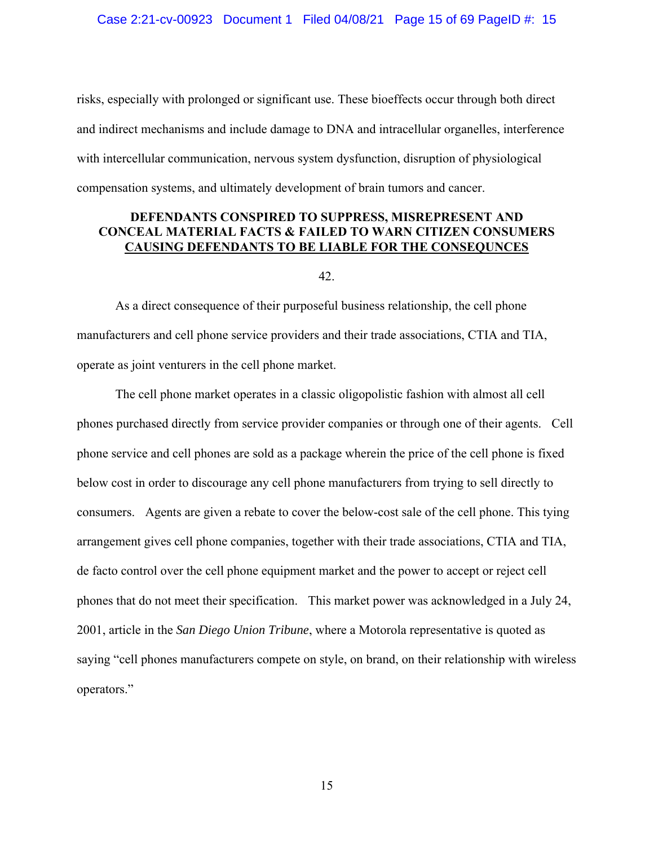risks, especially with prolonged or significant use. These bioeffects occur through both direct and indirect mechanisms and include damage to DNA and intracellular organelles, interference with intercellular communication, nervous system dysfunction, disruption of physiological compensation systems, and ultimately development of brain tumors and cancer.

## **DEFENDANTS CONSPIRED TO SUPPRESS, MISREPRESENT AND CONCEAL MATERIAL FACTS & FAILED TO WARN CITIZEN CONSUMERS CAUSING DEFENDANTS TO BE LIABLE FOR THE CONSEQUNCES**

#### 42.

As a direct consequence of their purposeful business relationship, the cell phone manufacturers and cell phone service providers and their trade associations, CTIA and TIA, operate as joint venturers in the cell phone market.

The cell phone market operates in a classic oligopolistic fashion with almost all cell phones purchased directly from service provider companies or through one of their agents. Cell phone service and cell phones are sold as a package wherein the price of the cell phone is fixed below cost in order to discourage any cell phone manufacturers from trying to sell directly to consumers. Agents are given a rebate to cover the below-cost sale of the cell phone. This tying arrangement gives cell phone companies, together with their trade associations, CTIA and TIA, de facto control over the cell phone equipment market and the power to accept or reject cell phones that do not meet their specification. This market power was acknowledged in a July 24, 2001, article in the *San Diego Union Tribune*, where a Motorola representative is quoted as saying "cell phones manufacturers compete on style, on brand, on their relationship with wireless operators."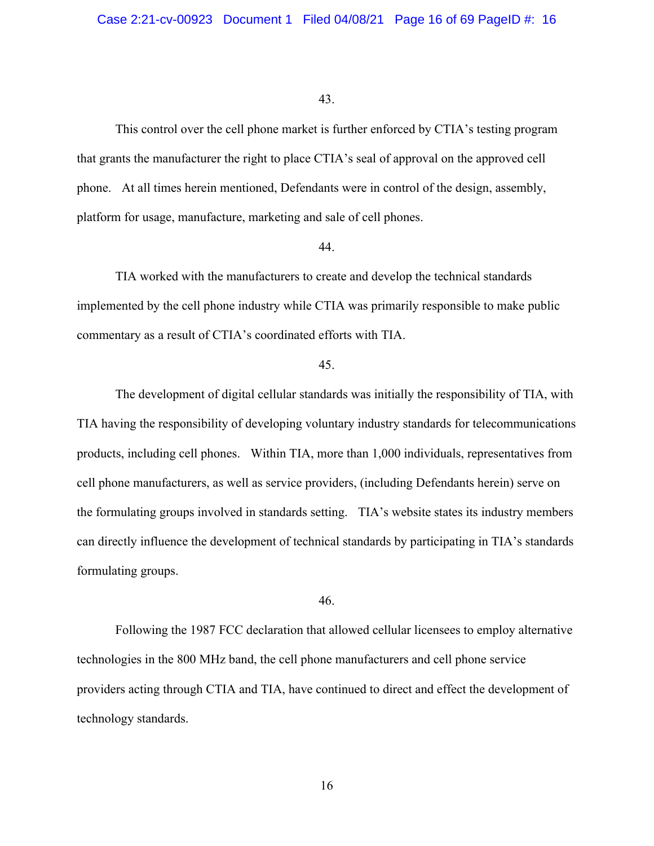This control over the cell phone market is further enforced by CTIA's testing program that grants the manufacturer the right to place CTIA's seal of approval on the approved cell phone. At all times herein mentioned, Defendants were in control of the design, assembly, platform for usage, manufacture, marketing and sale of cell phones.

#### 44.

TIA worked with the manufacturers to create and develop the technical standards implemented by the cell phone industry while CTIA was primarily responsible to make public commentary as a result of CTIA's coordinated efforts with TIA.

### 45.

The development of digital cellular standards was initially the responsibility of TIA, with TIA having the responsibility of developing voluntary industry standards for telecommunications products, including cell phones. Within TIA, more than 1,000 individuals, representatives from cell phone manufacturers, as well as service providers, (including Defendants herein) serve on the formulating groups involved in standards setting. TIA's website states its industry members can directly influence the development of technical standards by participating in TIA's standards formulating groups.

## 46.

Following the 1987 FCC declaration that allowed cellular licensees to employ alternative technologies in the 800 MHz band, the cell phone manufacturers and cell phone service providers acting through CTIA and TIA, have continued to direct and effect the development of technology standards.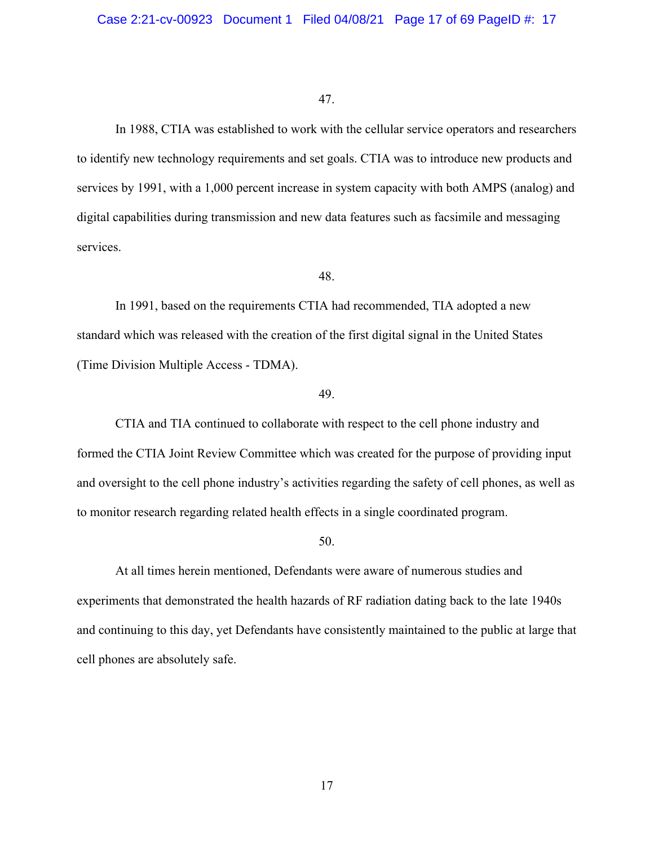In 1988, CTIA was established to work with the cellular service operators and researchers to identify new technology requirements and set goals. CTIA was to introduce new products and services by 1991, with a 1,000 percent increase in system capacity with both AMPS (analog) and digital capabilities during transmission and new data features such as facsimile and messaging services.

## 48.

In 1991, based on the requirements CTIA had recommended, TIA adopted a new standard which was released with the creation of the first digital signal in the United States (Time Division Multiple Access - TDMA).

## 49.

CTIA and TIA continued to collaborate with respect to the cell phone industry and formed the CTIA Joint Review Committee which was created for the purpose of providing input and oversight to the cell phone industry's activities regarding the safety of cell phones, as well as to monitor research regarding related health effects in a single coordinated program.

#### 50.

At all times herein mentioned, Defendants were aware of numerous studies and experiments that demonstrated the health hazards of RF radiation dating back to the late 1940s and continuing to this day, yet Defendants have consistently maintained to the public at large that cell phones are absolutely safe.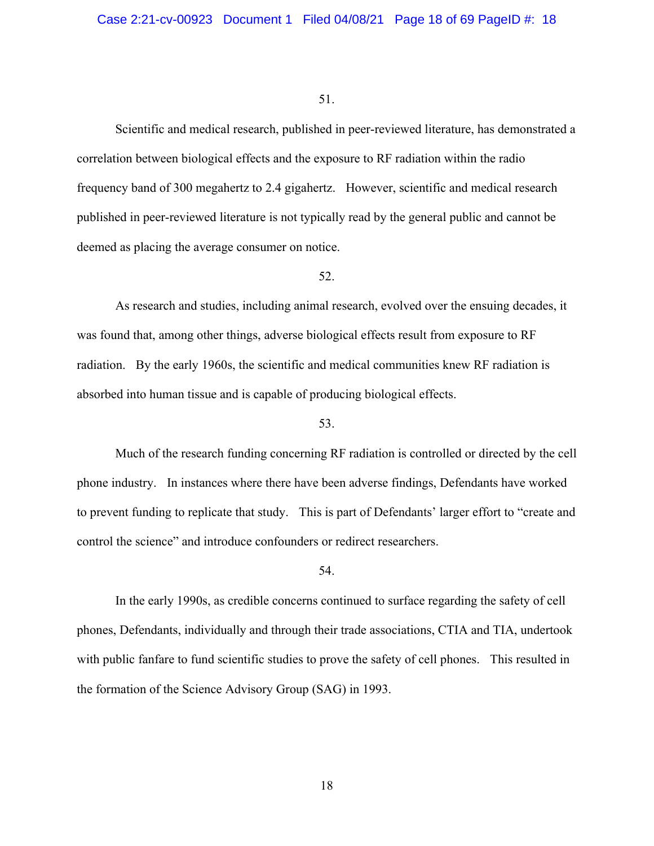Scientific and medical research, published in peer-reviewed literature, has demonstrated a correlation between biological effects and the exposure to RF radiation within the radio frequency band of 300 megahertz to 2.4 gigahertz. However, scientific and medical research published in peer-reviewed literature is not typically read by the general public and cannot be deemed as placing the average consumer on notice.

## 52.

As research and studies, including animal research, evolved over the ensuing decades, it was found that, among other things, adverse biological effects result from exposure to RF radiation. By the early 1960s, the scientific and medical communities knew RF radiation is absorbed into human tissue and is capable of producing biological effects.

#### 53.

Much of the research funding concerning RF radiation is controlled or directed by the cell phone industry. In instances where there have been adverse findings, Defendants have worked to prevent funding to replicate that study. This is part of Defendants' larger effort to "create and control the science" and introduce confounders or redirect researchers.

#### 54.

In the early 1990s, as credible concerns continued to surface regarding the safety of cell phones, Defendants, individually and through their trade associations, CTIA and TIA, undertook with public fanfare to fund scientific studies to prove the safety of cell phones. This resulted in the formation of the Science Advisory Group (SAG) in 1993.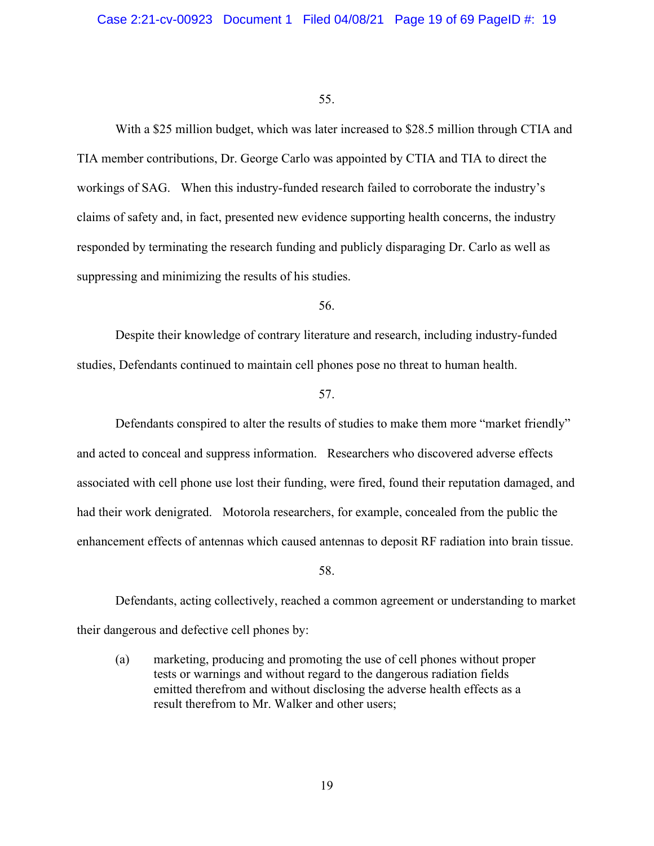With a \$25 million budget, which was later increased to \$28.5 million through CTIA and TIA member contributions, Dr. George Carlo was appointed by CTIA and TIA to direct the workings of SAG. When this industry-funded research failed to corroborate the industry's claims of safety and, in fact, presented new evidence supporting health concerns, the industry responded by terminating the research funding and publicly disparaging Dr. Carlo as well as suppressing and minimizing the results of his studies.

56.

Despite their knowledge of contrary literature and research, including industry-funded studies, Defendants continued to maintain cell phones pose no threat to human health.

57.

Defendants conspired to alter the results of studies to make them more "market friendly" and acted to conceal and suppress information. Researchers who discovered adverse effects associated with cell phone use lost their funding, were fired, found their reputation damaged, and had their work denigrated. Motorola researchers, for example, concealed from the public the enhancement effects of antennas which caused antennas to deposit RF radiation into brain tissue.

58.

Defendants, acting collectively, reached a common agreement or understanding to market their dangerous and defective cell phones by:

(a) marketing, producing and promoting the use of cell phones without proper tests or warnings and without regard to the dangerous radiation fields emitted therefrom and without disclosing the adverse health effects as a result therefrom to Mr. Walker and other users;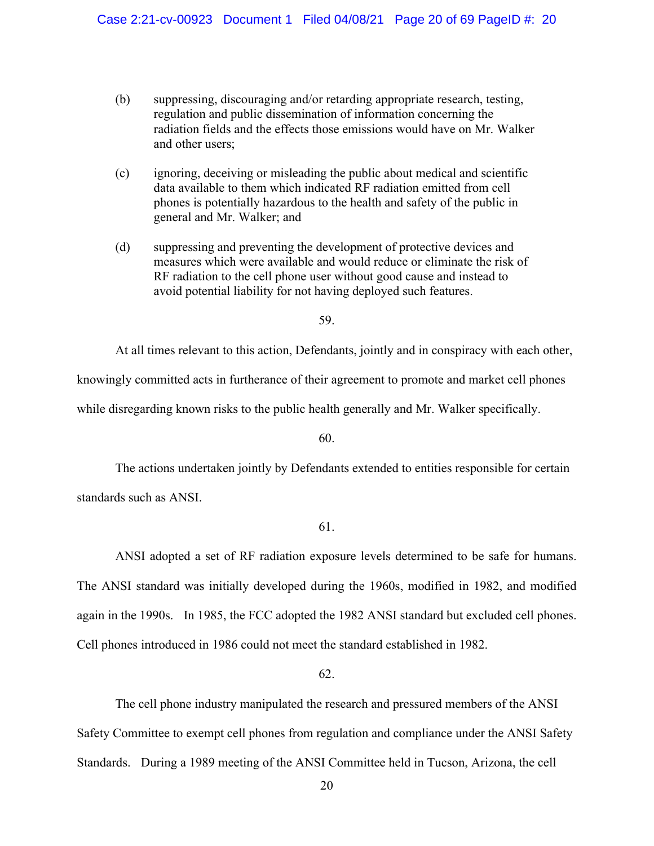- (b) suppressing, discouraging and/or retarding appropriate research, testing, regulation and public dissemination of information concerning the radiation fields and the effects those emissions would have on Mr. Walker and other users;
- (c) ignoring, deceiving or misleading the public about medical and scientific data available to them which indicated RF radiation emitted from cell phones is potentially hazardous to the health and safety of the public in general and Mr. Walker; and
- (d) suppressing and preventing the development of protective devices and measures which were available and would reduce or eliminate the risk of RF radiation to the cell phone user without good cause and instead to avoid potential liability for not having deployed such features.

At all times relevant to this action, Defendants, jointly and in conspiracy with each other,

knowingly committed acts in furtherance of their agreement to promote and market cell phones

while disregarding known risks to the public health generally and Mr. Walker specifically.

60.

 The actions undertaken jointly by Defendants extended to entities responsible for certain standards such as ANSI.

61.

 ANSI adopted a set of RF radiation exposure levels determined to be safe for humans. The ANSI standard was initially developed during the 1960s, modified in 1982, and modified again in the 1990s. In 1985, the FCC adopted the 1982 ANSI standard but excluded cell phones. Cell phones introduced in 1986 could not meet the standard established in 1982.

62.

 The cell phone industry manipulated the research and pressured members of the ANSI Safety Committee to exempt cell phones from regulation and compliance under the ANSI Safety Standards. During a 1989 meeting of the ANSI Committee held in Tucson, Arizona, the cell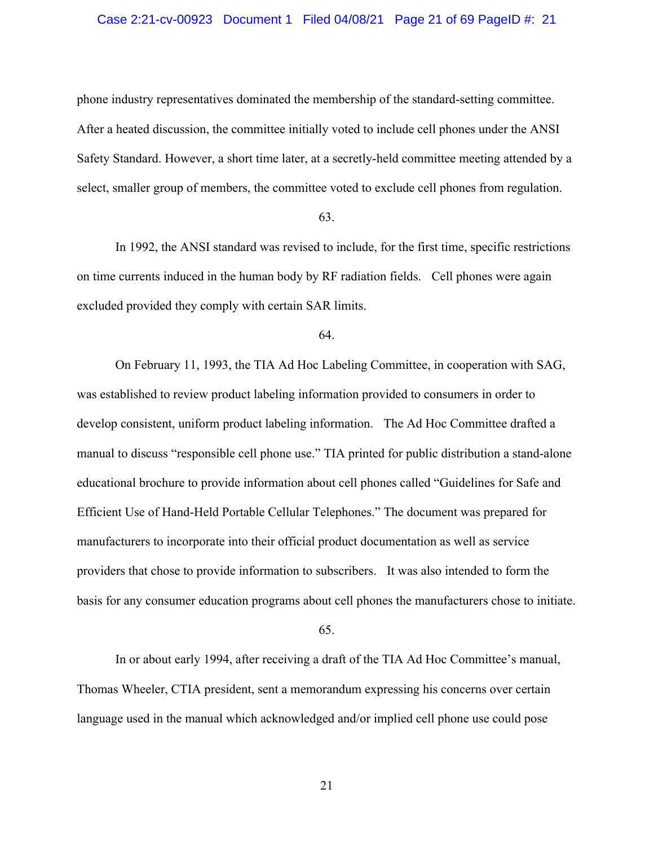### Case 2:21-cv-00923 Document 1 Filed 04/08/21 Page 21 of 69 PageID #: 21

phone industry representatives dominated the membership of the standard-setting committee. After a heated discussion, the committee initially voted to include cell phones under the ANSI Safety Standard. However, a short time later, at a secretly-held committee meeting attended by a select, smaller group of members, the committee voted to exclude cell phones from regulation.

#### 63.

In 1992, the ANSI standard was revised to include, for the first time, specific restrictions on time currents induced in the human body by RF radiation fields. Cell phones were again excluded provided they comply with certain SAR limits.

64.

On February 11, 1993, the TIA Ad Hoc Labeling Committee, in cooperation with SAG, was established to review product labeling information provided to consumers in order to develop consistent, uniform product labeling information. The Ad Hoc Committee drafted a manual to discuss "responsible cell phone use." TIA printed for public distribution a stand-alone educational brochure to provide information about cell phones called "Guidelines for Safe and Efficient Use of Hand-Held Portable Cellular Telephones." The document was prepared for manufacturers to incorporate into their official product documentation as well as service providers that chose to provide information to subscribers. It was also intended to form the basis for any consumer education programs about cell phones the manufacturers chose to initiate.

65.

In or about early 1994, after receiving a draft of the TIA Ad Hoc Committee's manual, Thomas Wheeler, CTIA president, sent a memorandum expressing his concerns over certain language used in the manual which acknowledged and/or implied cell phone use could pose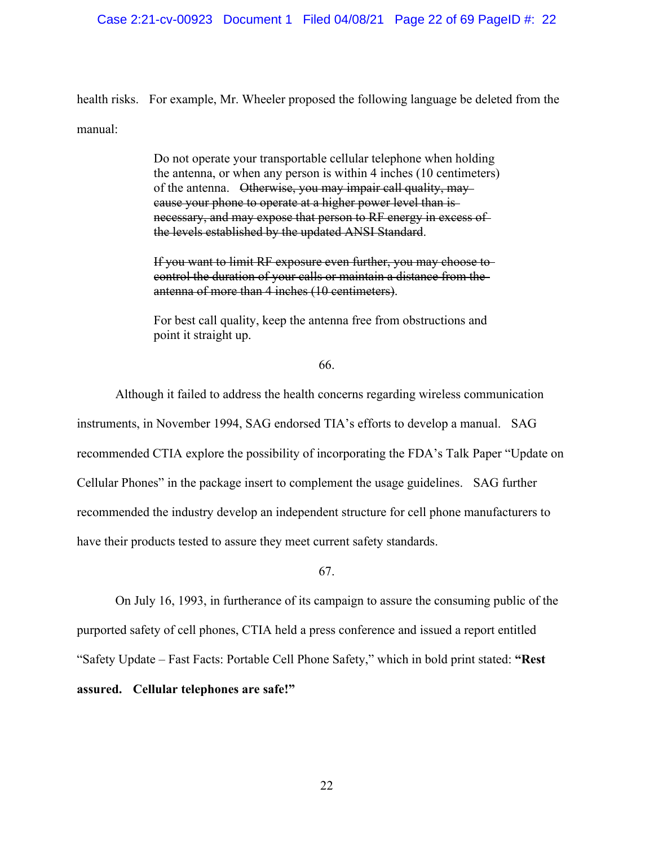health risks. For example, Mr. Wheeler proposed the following language be deleted from the manual:

> Do not operate your transportable cellular telephone when holding the antenna, or when any person is within 4 inches (10 centimeters) of the antenna. Otherwise, you may impair call quality, may cause your phone to operate at a higher power level than is necessary, and may expose that person to RF energy in excess of the levels established by the updated ANSI Standard.

If you want to limit RF exposure even further, you may choose to control the duration of your calls or maintain a distance from the antenna of more than 4 inches (10 centimeters).

For best call quality, keep the antenna free from obstructions and point it straight up.

66.

Although it failed to address the health concerns regarding wireless communication instruments, in November 1994, SAG endorsed TIA's efforts to develop a manual. SAG recommended CTIA explore the possibility of incorporating the FDA's Talk Paper "Update on Cellular Phones" in the package insert to complement the usage guidelines. SAG further recommended the industry develop an independent structure for cell phone manufacturers to have their products tested to assure they meet current safety standards.

67.

On July 16, 1993, in furtherance of its campaign to assure the consuming public of the purported safety of cell phones, CTIA held a press conference and issued a report entitled "Safety Update – Fast Facts: Portable Cell Phone Safety," which in bold print stated: **"Rest assured. Cellular telephones are safe!"**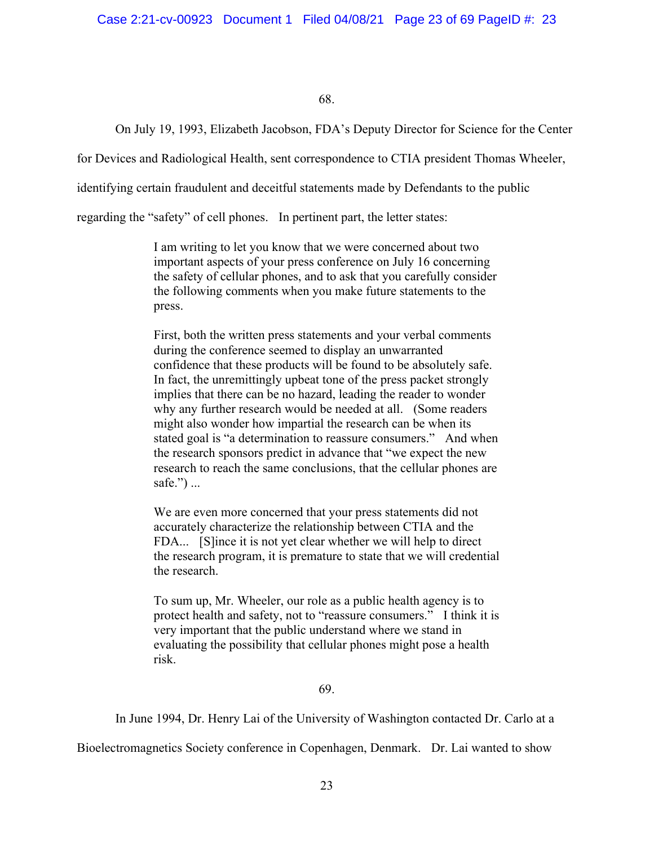On July 19, 1993, Elizabeth Jacobson, FDA's Deputy Director for Science for the Center

for Devices and Radiological Health, sent correspondence to CTIA president Thomas Wheeler,

identifying certain fraudulent and deceitful statements made by Defendants to the public

regarding the "safety" of cell phones. In pertinent part, the letter states:

I am writing to let you know that we were concerned about two important aspects of your press conference on July 16 concerning the safety of cellular phones, and to ask that you carefully consider the following comments when you make future statements to the press.

First, both the written press statements and your verbal comments during the conference seemed to display an unwarranted confidence that these products will be found to be absolutely safe. In fact, the unremittingly upbeat tone of the press packet strongly implies that there can be no hazard, leading the reader to wonder why any further research would be needed at all. (Some readers might also wonder how impartial the research can be when its stated goal is "a determination to reassure consumers." And when the research sponsors predict in advance that "we expect the new research to reach the same conclusions, that the cellular phones are safe.") ...

We are even more concerned that your press statements did not accurately characterize the relationship between CTIA and the FDA... [S]ince it is not yet clear whether we will help to direct the research program, it is premature to state that we will credential the research.

To sum up, Mr. Wheeler, our role as a public health agency is to protect health and safety, not to "reassure consumers." I think it is very important that the public understand where we stand in evaluating the possibility that cellular phones might pose a health risk.

69.

In June 1994, Dr. Henry Lai of the University of Washington contacted Dr. Carlo at a

Bioelectromagnetics Society conference in Copenhagen, Denmark. Dr. Lai wanted to show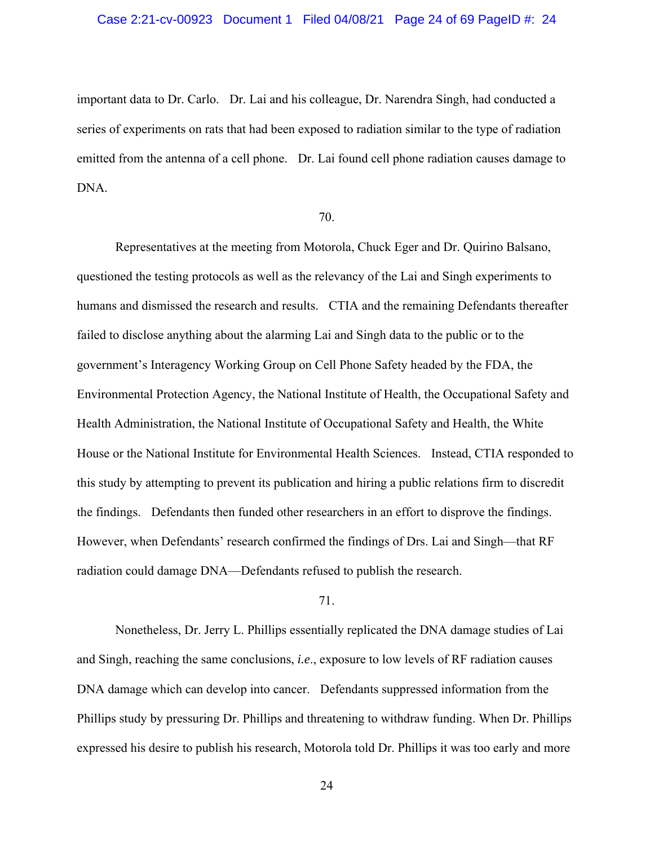important data to Dr. Carlo. Dr. Lai and his colleague, Dr. Narendra Singh, had conducted a series of experiments on rats that had been exposed to radiation similar to the type of radiation emitted from the antenna of a cell phone. Dr. Lai found cell phone radiation causes damage to DNA.

### 70.

Representatives at the meeting from Motorola, Chuck Eger and Dr. Quirino Balsano, questioned the testing protocols as well as the relevancy of the Lai and Singh experiments to humans and dismissed the research and results. CTIA and the remaining Defendants thereafter failed to disclose anything about the alarming Lai and Singh data to the public or to the government's Interagency Working Group on Cell Phone Safety headed by the FDA, the Environmental Protection Agency, the National Institute of Health, the Occupational Safety and Health Administration, the National Institute of Occupational Safety and Health, the White House or the National Institute for Environmental Health Sciences. Instead, CTIA responded to this study by attempting to prevent its publication and hiring a public relations firm to discredit the findings. Defendants then funded other researchers in an effort to disprove the findings. However, when Defendants' research confirmed the findings of Drs. Lai and Singh—that RF radiation could damage DNA—Defendants refused to publish the research.

#### 71.

Nonetheless, Dr. Jerry L. Phillips essentially replicated the DNA damage studies of Lai and Singh, reaching the same conclusions, *i.e*., exposure to low levels of RF radiation causes DNA damage which can develop into cancer. Defendants suppressed information from the Phillips study by pressuring Dr. Phillips and threatening to withdraw funding. When Dr. Phillips expressed his desire to publish his research, Motorola told Dr. Phillips it was too early and more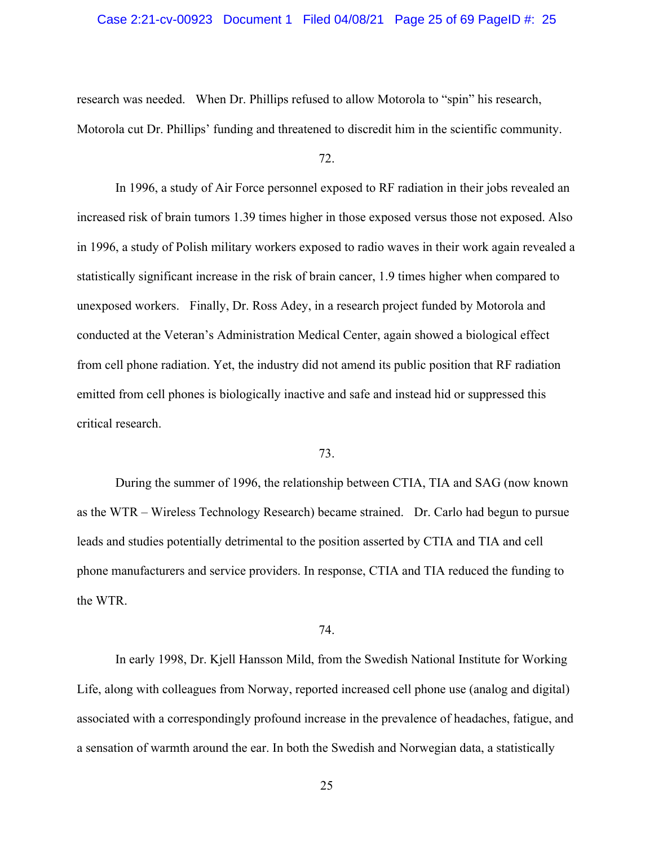### Case 2:21-cv-00923 Document 1 Filed 04/08/21 Page 25 of 69 PageID #: 25

research was needed. When Dr. Phillips refused to allow Motorola to "spin" his research, Motorola cut Dr. Phillips' funding and threatened to discredit him in the scientific community.

72.

In 1996, a study of Air Force personnel exposed to RF radiation in their jobs revealed an increased risk of brain tumors 1.39 times higher in those exposed versus those not exposed. Also in 1996, a study of Polish military workers exposed to radio waves in their work again revealed a statistically significant increase in the risk of brain cancer, 1.9 times higher when compared to unexposed workers. Finally, Dr. Ross Adey, in a research project funded by Motorola and conducted at the Veteran's Administration Medical Center, again showed a biological effect from cell phone radiation. Yet, the industry did not amend its public position that RF radiation emitted from cell phones is biologically inactive and safe and instead hid or suppressed this critical research.

## 73.

During the summer of 1996, the relationship between CTIA, TIA and SAG (now known as the WTR – Wireless Technology Research) became strained. Dr. Carlo had begun to pursue leads and studies potentially detrimental to the position asserted by CTIA and TIA and cell phone manufacturers and service providers. In response, CTIA and TIA reduced the funding to the WTR.

#### 74.

In early 1998, Dr. Kjell Hansson Mild, from the Swedish National Institute for Working Life, along with colleagues from Norway, reported increased cell phone use (analog and digital) associated with a correspondingly profound increase in the prevalence of headaches, fatigue, and a sensation of warmth around the ear. In both the Swedish and Norwegian data, a statistically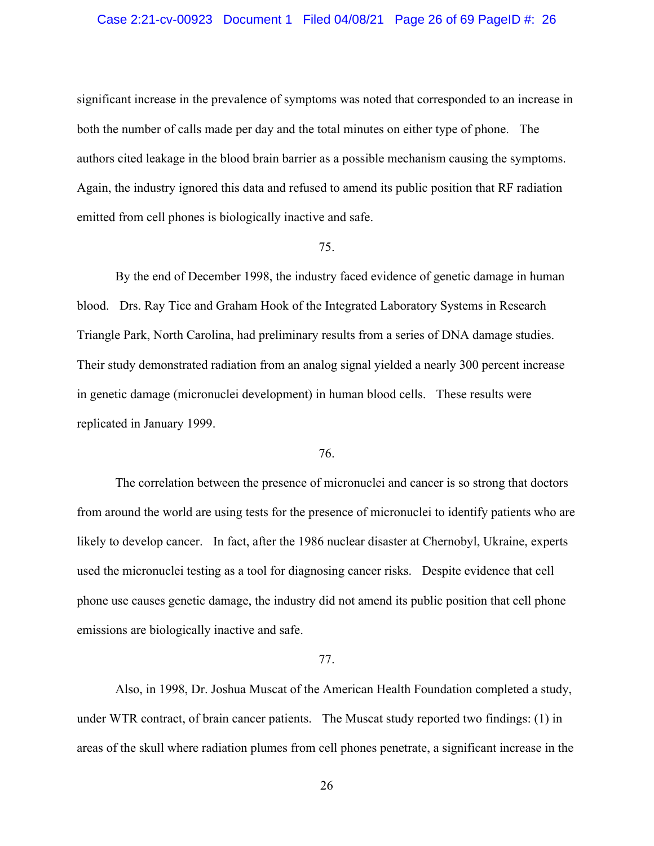#### Case 2:21-cv-00923 Document 1 Filed 04/08/21 Page 26 of 69 PageID #: 26

significant increase in the prevalence of symptoms was noted that corresponded to an increase in both the number of calls made per day and the total minutes on either type of phone. The authors cited leakage in the blood brain barrier as a possible mechanism causing the symptoms. Again, the industry ignored this data and refused to amend its public position that RF radiation emitted from cell phones is biologically inactive and safe.

#### 75.

By the end of December 1998, the industry faced evidence of genetic damage in human blood. Drs. Ray Tice and Graham Hook of the Integrated Laboratory Systems in Research Triangle Park, North Carolina, had preliminary results from a series of DNA damage studies. Their study demonstrated radiation from an analog signal yielded a nearly 300 percent increase in genetic damage (micronuclei development) in human blood cells. These results were replicated in January 1999.

## 76.

The correlation between the presence of micronuclei and cancer is so strong that doctors from around the world are using tests for the presence of micronuclei to identify patients who are likely to develop cancer. In fact, after the 1986 nuclear disaster at Chernobyl, Ukraine, experts used the micronuclei testing as a tool for diagnosing cancer risks. Despite evidence that cell phone use causes genetic damage, the industry did not amend its public position that cell phone emissions are biologically inactive and safe.

### 77.

Also, in 1998, Dr. Joshua Muscat of the American Health Foundation completed a study, under WTR contract, of brain cancer patients. The Muscat study reported two findings: (1) in areas of the skull where radiation plumes from cell phones penetrate, a significant increase in the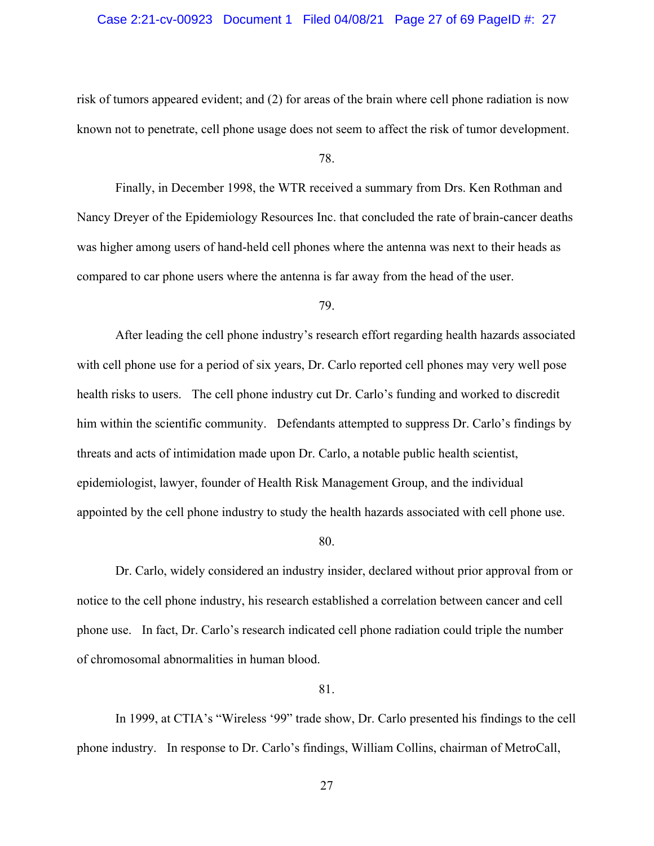### Case 2:21-cv-00923 Document 1 Filed 04/08/21 Page 27 of 69 PageID #: 27

risk of tumors appeared evident; and (2) for areas of the brain where cell phone radiation is now known not to penetrate, cell phone usage does not seem to affect the risk of tumor development.

78.

Finally, in December 1998, the WTR received a summary from Drs. Ken Rothman and Nancy Dreyer of the Epidemiology Resources Inc. that concluded the rate of brain-cancer deaths was higher among users of hand-held cell phones where the antenna was next to their heads as compared to car phone users where the antenna is far away from the head of the user.

## 79.

After leading the cell phone industry's research effort regarding health hazards associated with cell phone use for a period of six years, Dr. Carlo reported cell phones may very well pose health risks to users. The cell phone industry cut Dr. Carlo's funding and worked to discredit him within the scientific community. Defendants attempted to suppress Dr. Carlo's findings by threats and acts of intimidation made upon Dr. Carlo, a notable public health scientist, epidemiologist, lawyer, founder of Health Risk Management Group, and the individual appointed by the cell phone industry to study the health hazards associated with cell phone use.

80.

Dr. Carlo, widely considered an industry insider, declared without prior approval from or notice to the cell phone industry, his research established a correlation between cancer and cell phone use. In fact, Dr. Carlo's research indicated cell phone radiation could triple the number of chromosomal abnormalities in human blood.

#### 81.

In 1999, at CTIA's "Wireless '99" trade show, Dr. Carlo presented his findings to the cell phone industry. In response to Dr. Carlo's findings, William Collins, chairman of MetroCall,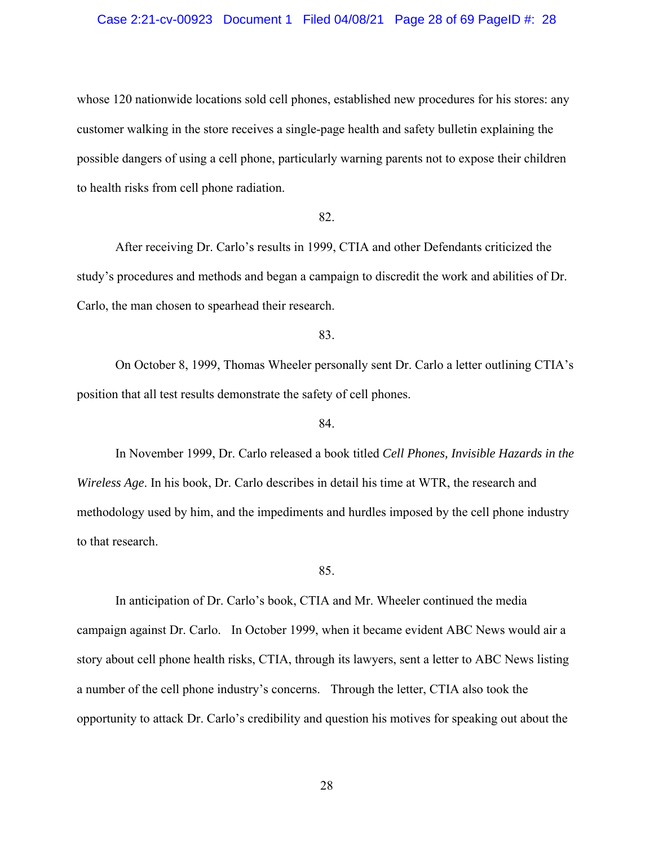#### Case 2:21-cv-00923 Document 1 Filed 04/08/21 Page 28 of 69 PageID #: 28

whose 120 nationwide locations sold cell phones, established new procedures for his stores: any customer walking in the store receives a single-page health and safety bulletin explaining the possible dangers of using a cell phone, particularly warning parents not to expose their children to health risks from cell phone radiation.

## 82.

After receiving Dr. Carlo's results in 1999, CTIA and other Defendants criticized the study's procedures and methods and began a campaign to discredit the work and abilities of Dr. Carlo, the man chosen to spearhead their research.

83.

On October 8, 1999, Thomas Wheeler personally sent Dr. Carlo a letter outlining CTIA's position that all test results demonstrate the safety of cell phones.

#### 84.

In November 1999, Dr. Carlo released a book titled *Cell Phones, Invisible Hazards in the Wireless Age*. In his book, Dr. Carlo describes in detail his time at WTR, the research and methodology used by him, and the impediments and hurdles imposed by the cell phone industry to that research.

#### 85.

In anticipation of Dr. Carlo's book, CTIA and Mr. Wheeler continued the media campaign against Dr. Carlo. In October 1999, when it became evident ABC News would air a story about cell phone health risks, CTIA, through its lawyers, sent a letter to ABC News listing a number of the cell phone industry's concerns. Through the letter, CTIA also took the opportunity to attack Dr. Carlo's credibility and question his motives for speaking out about the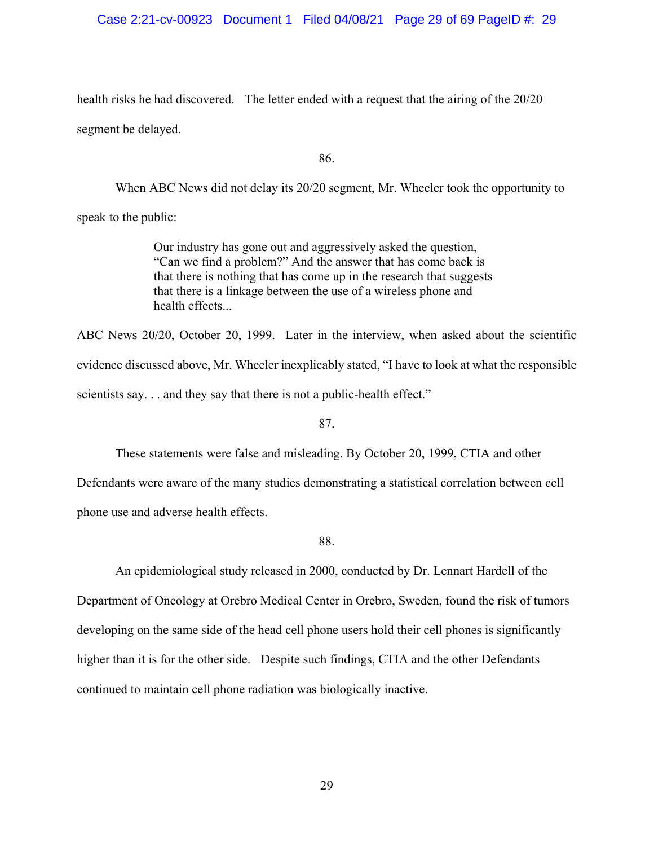### Case 2:21-cv-00923 Document 1 Filed 04/08/21 Page 29 of 69 PageID #: 29

health risks he had discovered. The letter ended with a request that the airing of the 20/20 segment be delayed.

86.

When ABC News did not delay its 20/20 segment, Mr. Wheeler took the opportunity to speak to the public:

> Our industry has gone out and aggressively asked the question, "Can we find a problem?" And the answer that has come back is that there is nothing that has come up in the research that suggests that there is a linkage between the use of a wireless phone and health effects...

ABC News 20/20, October 20, 1999. Later in the interview, when asked about the scientific evidence discussed above, Mr. Wheeler inexplicably stated, "I have to look at what the responsible scientists say... and they say that there is not a public-health effect."

87.

These statements were false and misleading. By October 20, 1999, CTIA and other

Defendants were aware of the many studies demonstrating a statistical correlation between cell phone use and adverse health effects.

88.

An epidemiological study released in 2000, conducted by Dr. Lennart Hardell of the Department of Oncology at Orebro Medical Center in Orebro, Sweden, found the risk of tumors developing on the same side of the head cell phone users hold their cell phones is significantly higher than it is for the other side. Despite such findings, CTIA and the other Defendants continued to maintain cell phone radiation was biologically inactive.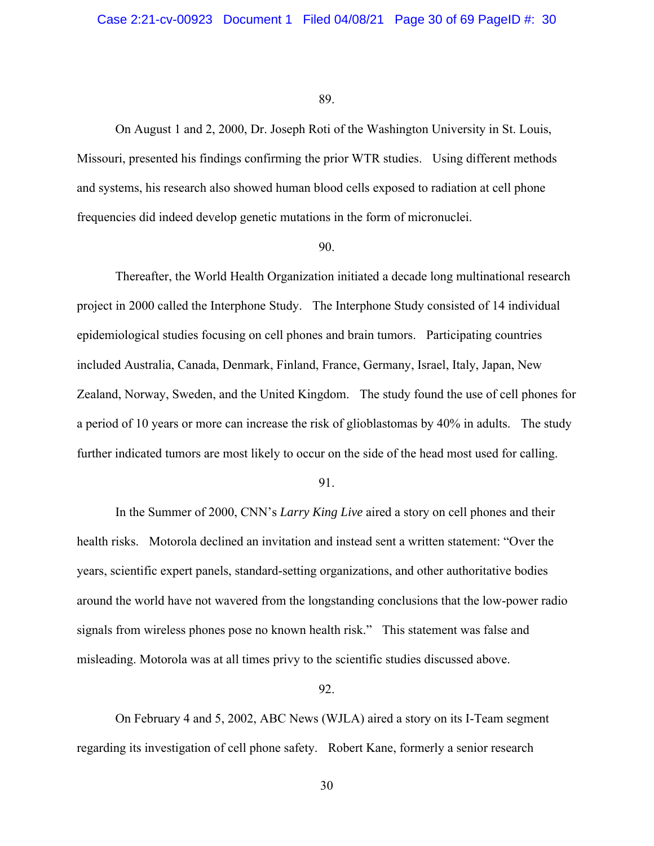On August 1 and 2, 2000, Dr. Joseph Roti of the Washington University in St. Louis, Missouri, presented his findings confirming the prior WTR studies. Using different methods and systems, his research also showed human blood cells exposed to radiation at cell phone frequencies did indeed develop genetic mutations in the form of micronuclei.

#### 90.

Thereafter, the World Health Organization initiated a decade long multinational research project in 2000 called the Interphone Study. The Interphone Study consisted of 14 individual epidemiological studies focusing on cell phones and brain tumors. Participating countries included Australia, Canada, Denmark, Finland, France, Germany, Israel, Italy, Japan, New Zealand, Norway, Sweden, and the United Kingdom. The study found the use of cell phones for a period of 10 years or more can increase the risk of glioblastomas by 40% in adults. The study further indicated tumors are most likely to occur on the side of the head most used for calling.

#### 91.

In the Summer of 2000, CNN's *Larry King Live* aired a story on cell phones and their health risks. Motorola declined an invitation and instead sent a written statement: "Over the years, scientific expert panels, standard-setting organizations, and other authoritative bodies around the world have not wavered from the longstanding conclusions that the low-power radio signals from wireless phones pose no known health risk." This statement was false and misleading. Motorola was at all times privy to the scientific studies discussed above.

### 92.

On February 4 and 5, 2002, ABC News (WJLA) aired a story on its I-Team segment regarding its investigation of cell phone safety. Robert Kane, formerly a senior research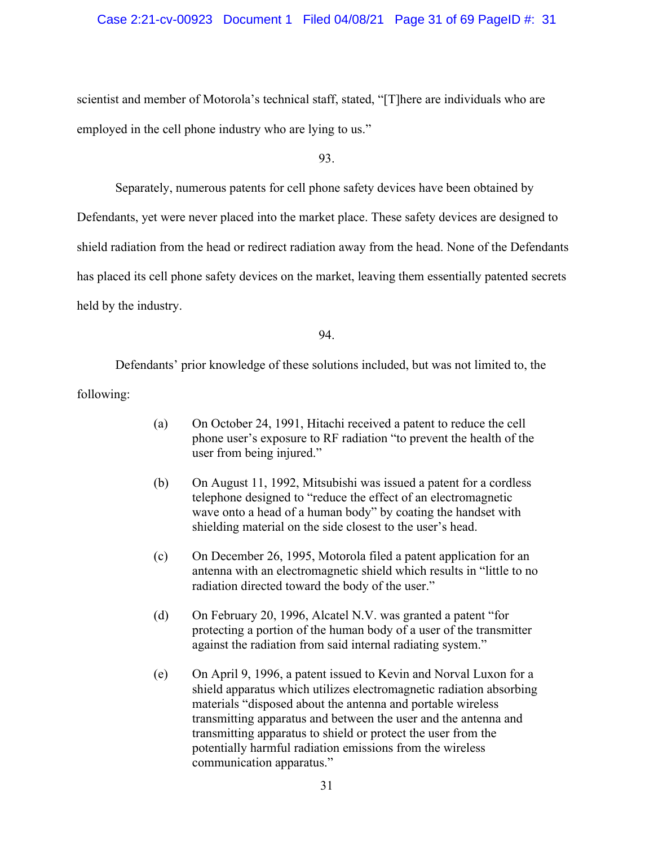#### Case 2:21-cv-00923 Document 1 Filed 04/08/21 Page 31 of 69 PageID #: 31

scientist and member of Motorola's technical staff, stated, "[T]here are individuals who are employed in the cell phone industry who are lying to us."

93.

Separately, numerous patents for cell phone safety devices have been obtained by

Defendants, yet were never placed into the market place. These safety devices are designed to shield radiation from the head or redirect radiation away from the head. None of the Defendants has placed its cell phone safety devices on the market, leaving them essentially patented secrets held by the industry.

94.

Defendants' prior knowledge of these solutions included, but was not limited to, the following:

- (a) On October 24, 1991, Hitachi received a patent to reduce the cell phone user's exposure to RF radiation "to prevent the health of the user from being injured."
- (b) On August 11, 1992, Mitsubishi was issued a patent for a cordless telephone designed to "reduce the effect of an electromagnetic wave onto a head of a human body" by coating the handset with shielding material on the side closest to the user's head.
- (c) On December 26, 1995, Motorola filed a patent application for an antenna with an electromagnetic shield which results in "little to no radiation directed toward the body of the user."
- (d) On February 20, 1996, Alcatel N.V. was granted a patent "for protecting a portion of the human body of a user of the transmitter against the radiation from said internal radiating system."
- (e) On April 9, 1996, a patent issued to Kevin and Norval Luxon for a shield apparatus which utilizes electromagnetic radiation absorbing materials "disposed about the antenna and portable wireless transmitting apparatus and between the user and the antenna and transmitting apparatus to shield or protect the user from the potentially harmful radiation emissions from the wireless communication apparatus."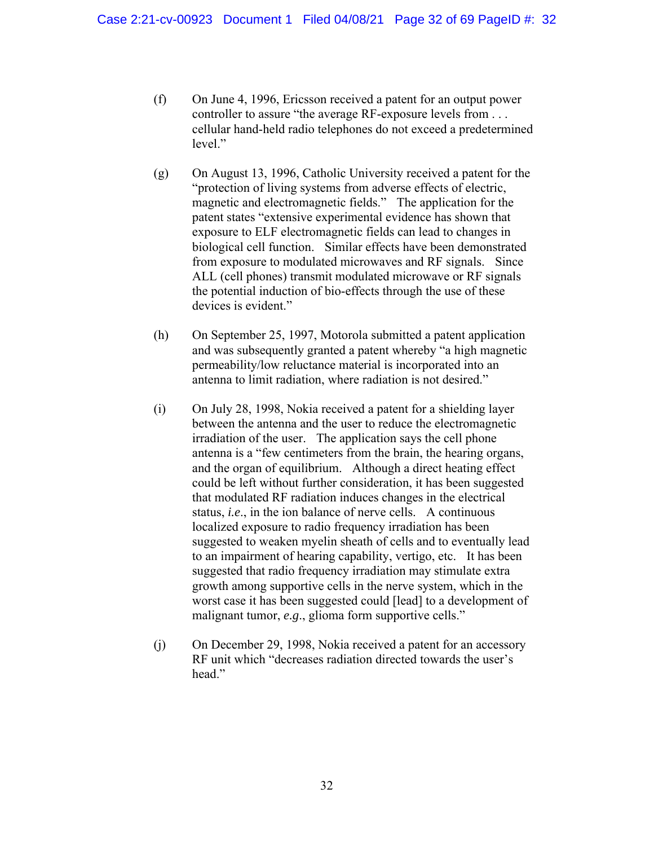- (f) On June 4, 1996, Ericsson received a patent for an output power controller to assure "the average RF-exposure levels from . . . cellular hand-held radio telephones do not exceed a predetermined level."
- (g) On August 13, 1996, Catholic University received a patent for the "protection of living systems from adverse effects of electric, magnetic and electromagnetic fields." The application for the patent states "extensive experimental evidence has shown that exposure to ELF electromagnetic fields can lead to changes in biological cell function. Similar effects have been demonstrated from exposure to modulated microwaves and RF signals. Since ALL (cell phones) transmit modulated microwave or RF signals the potential induction of bio-effects through the use of these devices is evident."
- (h) On September 25, 1997, Motorola submitted a patent application and was subsequently granted a patent whereby "a high magnetic permeability/low reluctance material is incorporated into an antenna to limit radiation, where radiation is not desired."
- (i) On July 28, 1998, Nokia received a patent for a shielding layer between the antenna and the user to reduce the electromagnetic irradiation of the user. The application says the cell phone antenna is a "few centimeters from the brain, the hearing organs, and the organ of equilibrium. Although a direct heating effect could be left without further consideration, it has been suggested that modulated RF radiation induces changes in the electrical status, *i.e*., in the ion balance of nerve cells. A continuous localized exposure to radio frequency irradiation has been suggested to weaken myelin sheath of cells and to eventually lead to an impairment of hearing capability, vertigo, etc. It has been suggested that radio frequency irradiation may stimulate extra growth among supportive cells in the nerve system, which in the worst case it has been suggested could [lead] to a development of malignant tumor, *e.g*., glioma form supportive cells."
- (j) On December 29, 1998, Nokia received a patent for an accessory RF unit which "decreases radiation directed towards the user's head."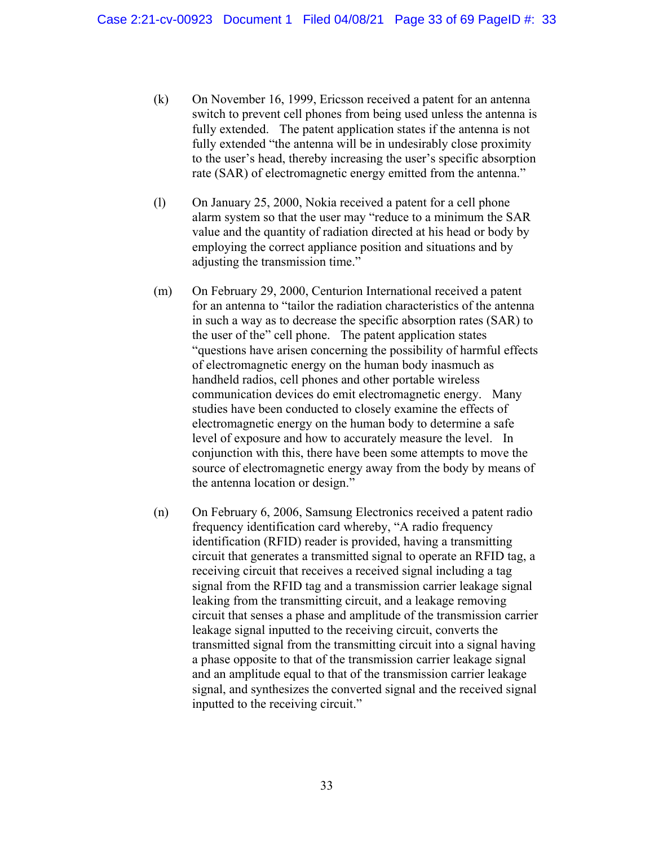- (k) On November 16, 1999, Ericsson received a patent for an antenna switch to prevent cell phones from being used unless the antenna is fully extended. The patent application states if the antenna is not fully extended "the antenna will be in undesirably close proximity to the user's head, thereby increasing the user's specific absorption rate (SAR) of electromagnetic energy emitted from the antenna."
- (l) On January 25, 2000, Nokia received a patent for a cell phone alarm system so that the user may "reduce to a minimum the SAR value and the quantity of radiation directed at his head or body by employing the correct appliance position and situations and by adjusting the transmission time."
- (m) On February 29, 2000, Centurion International received a patent for an antenna to "tailor the radiation characteristics of the antenna in such a way as to decrease the specific absorption rates (SAR) to the user of the" cell phone. The patent application states "questions have arisen concerning the possibility of harmful effects of electromagnetic energy on the human body inasmuch as handheld radios, cell phones and other portable wireless communication devices do emit electromagnetic energy. Many studies have been conducted to closely examine the effects of electromagnetic energy on the human body to determine a safe level of exposure and how to accurately measure the level. In conjunction with this, there have been some attempts to move the source of electromagnetic energy away from the body by means of the antenna location or design."
- (n) On February 6, 2006, Samsung Electronics received a patent radio frequency identification card whereby, "A radio frequency identification (RFID) reader is provided, having a transmitting circuit that generates a transmitted signal to operate an RFID tag, a receiving circuit that receives a received signal including a tag signal from the RFID tag and a transmission carrier leakage signal leaking from the transmitting circuit, and a leakage removing circuit that senses a phase and amplitude of the transmission carrier leakage signal inputted to the receiving circuit, converts the transmitted signal from the transmitting circuit into a signal having a phase opposite to that of the transmission carrier leakage signal and an amplitude equal to that of the transmission carrier leakage signal, and synthesizes the converted signal and the received signal inputted to the receiving circuit."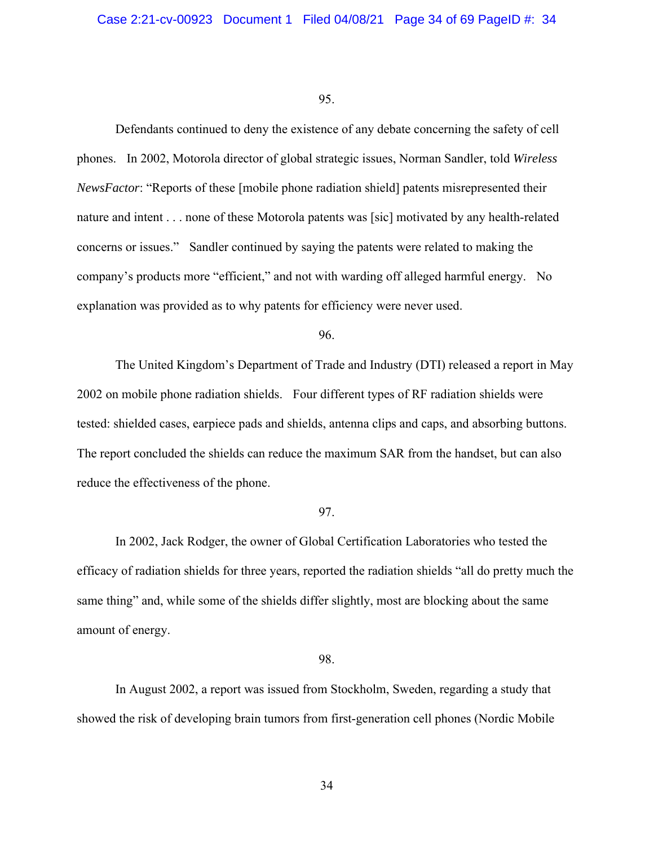Defendants continued to deny the existence of any debate concerning the safety of cell phones. In 2002, Motorola director of global strategic issues, Norman Sandler, told *Wireless NewsFactor*: "Reports of these [mobile phone radiation shield] patents misrepresented their nature and intent . . . none of these Motorola patents was [sic] motivated by any health-related concerns or issues." Sandler continued by saying the patents were related to making the company's products more "efficient," and not with warding off alleged harmful energy. No explanation was provided as to why patents for efficiency were never used.

### 96.

The United Kingdom's Department of Trade and Industry (DTI) released a report in May 2002 on mobile phone radiation shields. Four different types of RF radiation shields were tested: shielded cases, earpiece pads and shields, antenna clips and caps, and absorbing buttons. The report concluded the shields can reduce the maximum SAR from the handset, but can also reduce the effectiveness of the phone.

#### 97.

In 2002, Jack Rodger, the owner of Global Certification Laboratories who tested the efficacy of radiation shields for three years, reported the radiation shields "all do pretty much the same thing" and, while some of the shields differ slightly, most are blocking about the same amount of energy.

### 98.

In August 2002, a report was issued from Stockholm, Sweden, regarding a study that showed the risk of developing brain tumors from first-generation cell phones (Nordic Mobile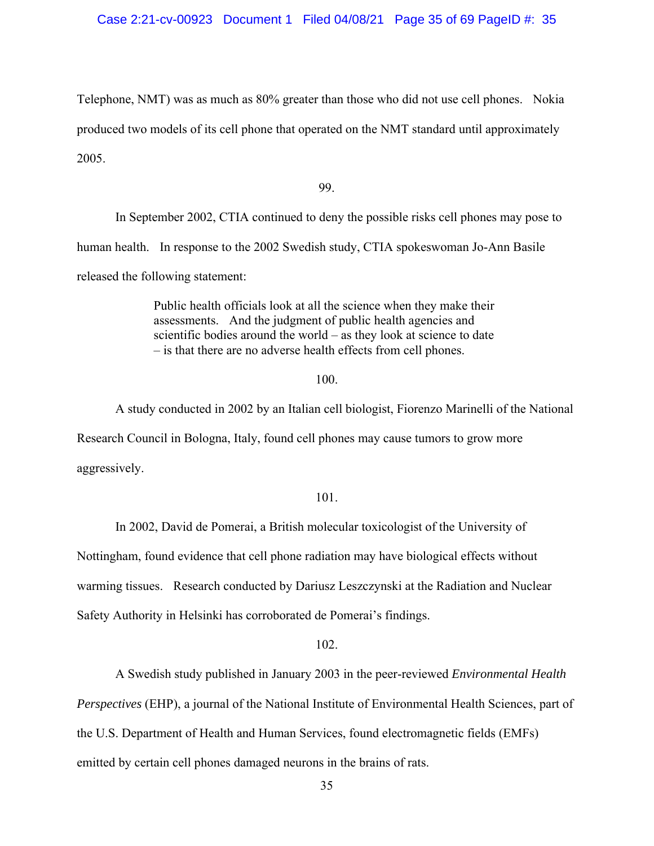Telephone, NMT) was as much as 80% greater than those who did not use cell phones. Nokia produced two models of its cell phone that operated on the NMT standard until approximately 2005.

99.

In September 2002, CTIA continued to deny the possible risks cell phones may pose to human health. In response to the 2002 Swedish study, CTIA spokeswoman Jo-Ann Basile released the following statement:

> Public health officials look at all the science when they make their assessments. And the judgment of public health agencies and scientific bodies around the world – as they look at science to date – is that there are no adverse health effects from cell phones.

#### 100.

A study conducted in 2002 by an Italian cell biologist, Fiorenzo Marinelli of the National Research Council in Bologna, Italy, found cell phones may cause tumors to grow more aggressively.

#### 101.

In 2002, David de Pomerai, a British molecular toxicologist of the University of Nottingham, found evidence that cell phone radiation may have biological effects without warming tissues. Research conducted by Dariusz Leszczynski at the Radiation and Nuclear Safety Authority in Helsinki has corroborated de Pomerai's findings.

#### 102.

A Swedish study published in January 2003 in the peer-reviewed *Environmental Health* 

*Perspectives* (EHP), a journal of the National Institute of Environmental Health Sciences, part of the U.S. Department of Health and Human Services, found electromagnetic fields (EMFs)

emitted by certain cell phones damaged neurons in the brains of rats.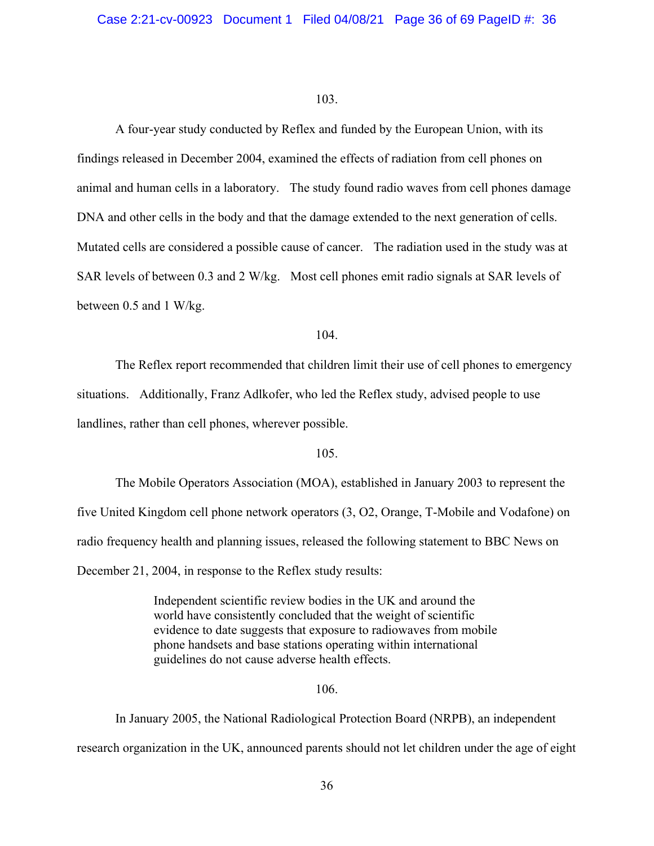A four-year study conducted by Reflex and funded by the European Union, with its findings released in December 2004, examined the effects of radiation from cell phones on animal and human cells in a laboratory. The study found radio waves from cell phones damage DNA and other cells in the body and that the damage extended to the next generation of cells. Mutated cells are considered a possible cause of cancer. The radiation used in the study was at SAR levels of between 0.3 and 2 W/kg. Most cell phones emit radio signals at SAR levels of between 0.5 and 1 W/kg.

## 104.

The Reflex report recommended that children limit their use of cell phones to emergency situations. Additionally, Franz Adlkofer, who led the Reflex study, advised people to use landlines, rather than cell phones, wherever possible.

## 105.

The Mobile Operators Association (MOA), established in January 2003 to represent the five United Kingdom cell phone network operators (3, O2, Orange, T-Mobile and Vodafone) on radio frequency health and planning issues, released the following statement to BBC News on December 21, 2004, in response to the Reflex study results:

> Independent scientific review bodies in the UK and around the world have consistently concluded that the weight of scientific evidence to date suggests that exposure to radiowaves from mobile phone handsets and base stations operating within international guidelines do not cause adverse health effects.

#### 106.

In January 2005, the National Radiological Protection Board (NRPB), an independent research organization in the UK, announced parents should not let children under the age of eight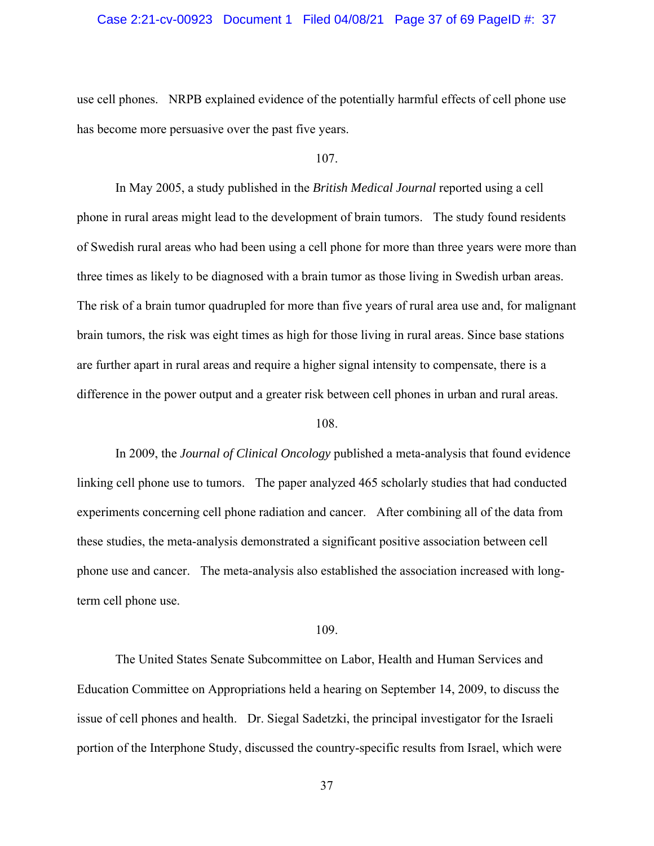#### Case 2:21-cv-00923 Document 1 Filed 04/08/21 Page 37 of 69 PageID #: 37

use cell phones. NRPB explained evidence of the potentially harmful effects of cell phone use has become more persuasive over the past five years.

## 107.

In May 2005, a study published in the *British Medical Journal* reported using a cell phone in rural areas might lead to the development of brain tumors. The study found residents of Swedish rural areas who had been using a cell phone for more than three years were more than three times as likely to be diagnosed with a brain tumor as those living in Swedish urban areas. The risk of a brain tumor quadrupled for more than five years of rural area use and, for malignant brain tumors, the risk was eight times as high for those living in rural areas. Since base stations are further apart in rural areas and require a higher signal intensity to compensate, there is a difference in the power output and a greater risk between cell phones in urban and rural areas.

#### 108.

In 2009, the *Journal of Clinical Oncology* published a meta-analysis that found evidence linking cell phone use to tumors. The paper analyzed 465 scholarly studies that had conducted experiments concerning cell phone radiation and cancer. After combining all of the data from these studies, the meta-analysis demonstrated a significant positive association between cell phone use and cancer. The meta-analysis also established the association increased with longterm cell phone use.

#### 109.

The United States Senate Subcommittee on Labor, Health and Human Services and Education Committee on Appropriations held a hearing on September 14, 2009, to discuss the issue of cell phones and health. Dr. Siegal Sadetzki, the principal investigator for the Israeli portion of the Interphone Study, discussed the country-specific results from Israel, which were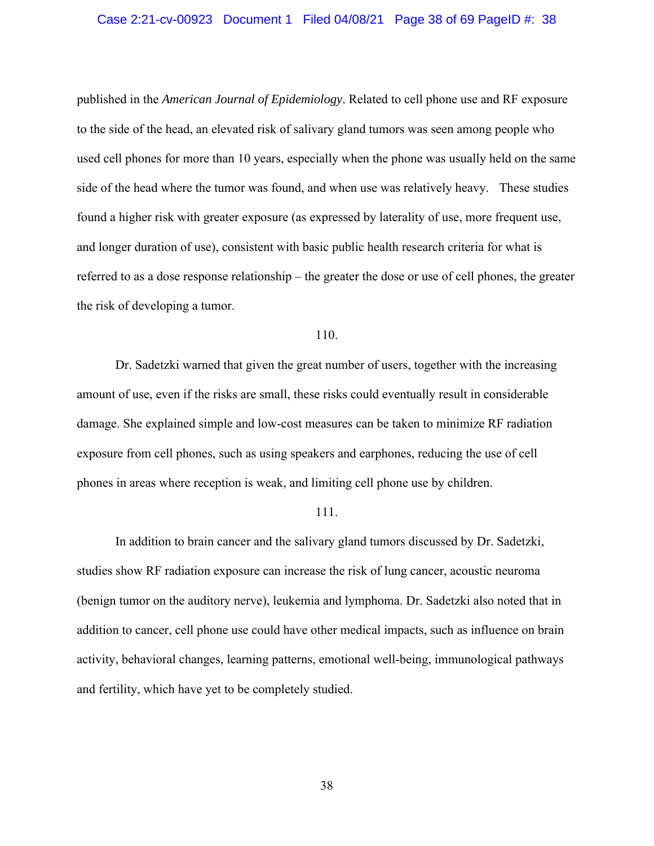#### Case 2:21-cv-00923 Document 1 Filed 04/08/21 Page 38 of 69 PageID #: 38

published in the *American Journal of Epidemiology*. Related to cell phone use and RF exposure to the side of the head, an elevated risk of salivary gland tumors was seen among people who used cell phones for more than 10 years, especially when the phone was usually held on the same side of the head where the tumor was found, and when use was relatively heavy. These studies found a higher risk with greater exposure (as expressed by laterality of use, more frequent use, and longer duration of use), consistent with basic public health research criteria for what is referred to as a dose response relationship – the greater the dose or use of cell phones, the greater the risk of developing a tumor.

## 110.

Dr. Sadetzki warned that given the great number of users, together with the increasing amount of use, even if the risks are small, these risks could eventually result in considerable damage. She explained simple and low-cost measures can be taken to minimize RF radiation exposure from cell phones, such as using speakers and earphones, reducing the use of cell phones in areas where reception is weak, and limiting cell phone use by children.

#### 111.

In addition to brain cancer and the salivary gland tumors discussed by Dr. Sadetzki, studies show RF radiation exposure can increase the risk of lung cancer, acoustic neuroma (benign tumor on the auditory nerve), leukemia and lymphoma. Dr. Sadetzki also noted that in addition to cancer, cell phone use could have other medical impacts, such as influence on brain activity, behavioral changes, learning patterns, emotional well-being, immunological pathways and fertility, which have yet to be completely studied.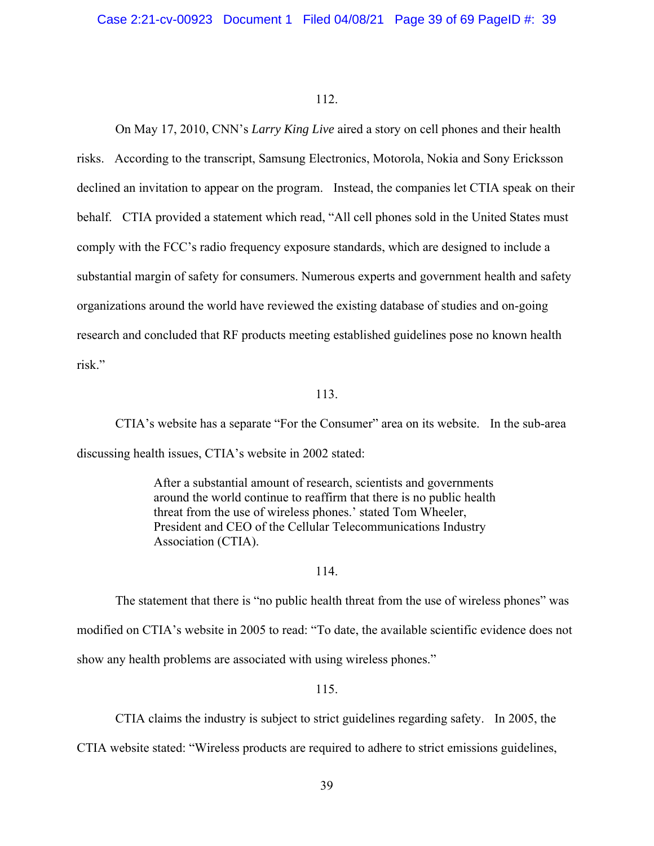On May 17, 2010, CNN's *Larry King Live* aired a story on cell phones and their health risks. According to the transcript, Samsung Electronics, Motorola, Nokia and Sony Ericksson declined an invitation to appear on the program. Instead, the companies let CTIA speak on their behalf. CTIA provided a statement which read, "All cell phones sold in the United States must comply with the FCC's radio frequency exposure standards, which are designed to include a substantial margin of safety for consumers. Numerous experts and government health and safety organizations around the world have reviewed the existing database of studies and on-going research and concluded that RF products meeting established guidelines pose no known health risk."

## 113.

CTIA's website has a separate "For the Consumer" area on its website. In the sub-area discussing health issues, CTIA's website in 2002 stated:

> After a substantial amount of research, scientists and governments around the world continue to reaffirm that there is no public health threat from the use of wireless phones.' stated Tom Wheeler, President and CEO of the Cellular Telecommunications Industry Association (CTIA).

### 114.

The statement that there is "no public health threat from the use of wireless phones" was modified on CTIA's website in 2005 to read: "To date, the available scientific evidence does not show any health problems are associated with using wireless phones."

115.

CTIA claims the industry is subject to strict guidelines regarding safety. In 2005, the

CTIA website stated: "Wireless products are required to adhere to strict emissions guidelines,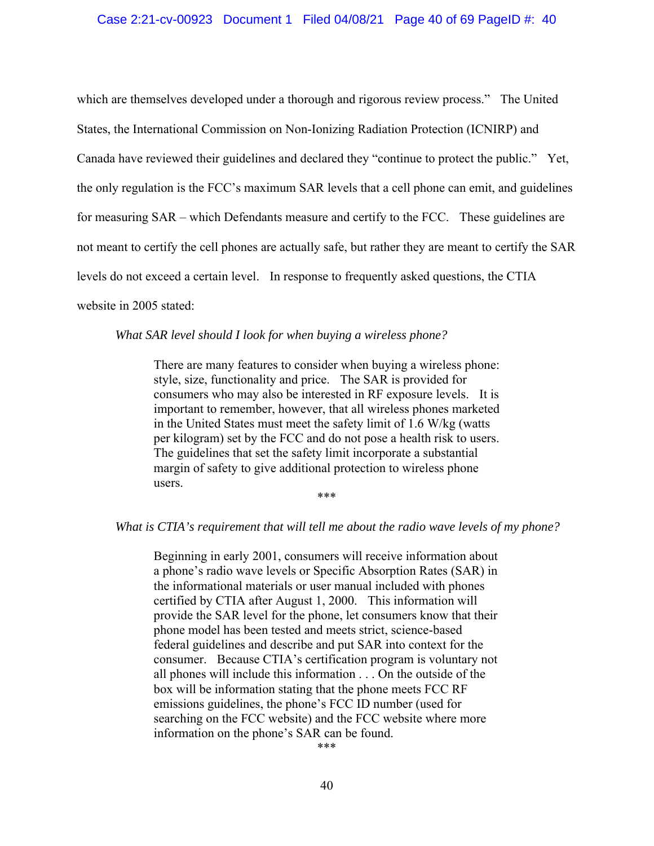#### Case 2:21-cv-00923 Document 1 Filed 04/08/21 Page 40 of 69 PageID #: 40

which are themselves developed under a thorough and rigorous review process." The United States, the International Commission on Non-Ionizing Radiation Protection (ICNIRP) and Canada have reviewed their guidelines and declared they "continue to protect the public." Yet, the only regulation is the FCC's maximum SAR levels that a cell phone can emit, and guidelines for measuring SAR – which Defendants measure and certify to the FCC. These guidelines are not meant to certify the cell phones are actually safe, but rather they are meant to certify the SAR levels do not exceed a certain level. In response to frequently asked questions, the CTIA website in 2005 stated:

### *What SAR level should I look for when buying a wireless phone?*

There are many features to consider when buying a wireless phone: style, size, functionality and price. The SAR is provided for consumers who may also be interested in RF exposure levels. It is important to remember, however, that all wireless phones marketed in the United States must meet the safety limit of 1.6 W/kg (watts per kilogram) set by the FCC and do not pose a health risk to users. The guidelines that set the safety limit incorporate a substantial margin of safety to give additional protection to wireless phone users.

\*\*\*

#### *What is CTIA's requirement that will tell me about the radio wave levels of my phone?*

Beginning in early 2001, consumers will receive information about a phone's radio wave levels or Specific Absorption Rates (SAR) in the informational materials or user manual included with phones certified by CTIA after August 1, 2000. This information will provide the SAR level for the phone, let consumers know that their phone model has been tested and meets strict, science-based federal guidelines and describe and put SAR into context for the consumer. Because CTIA's certification program is voluntary not all phones will include this information . . . On the outside of the box will be information stating that the phone meets FCC RF emissions guidelines, the phone's FCC ID number (used for searching on the FCC website) and the FCC website where more information on the phone's SAR can be found.

\*\*\*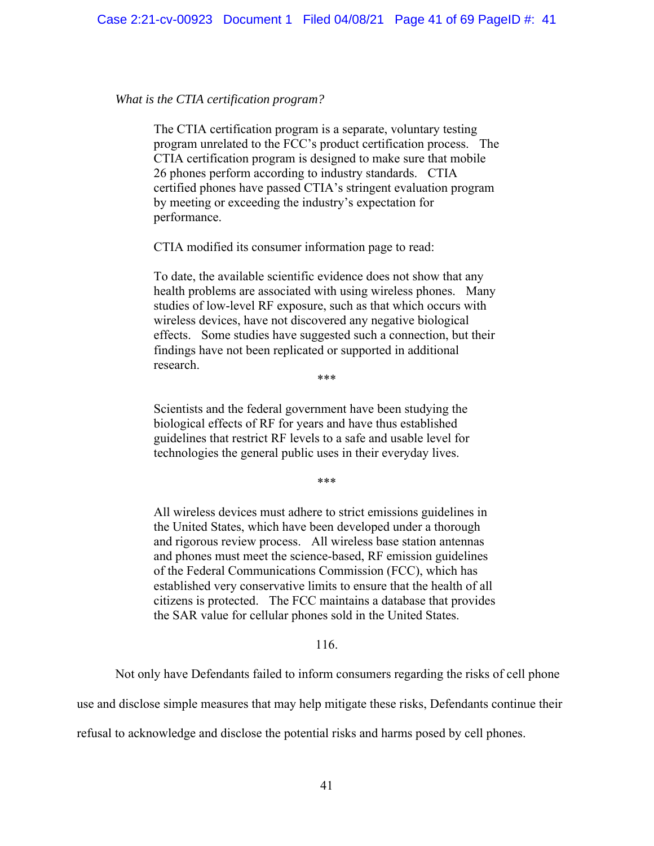### *What is the CTIA certification program?*

The CTIA certification program is a separate, voluntary testing program unrelated to the FCC's product certification process. The CTIA certification program is designed to make sure that mobile 26 phones perform according to industry standards. CTIA certified phones have passed CTIA's stringent evaluation program by meeting or exceeding the industry's expectation for performance.

CTIA modified its consumer information page to read:

To date, the available scientific evidence does not show that any health problems are associated with using wireless phones. Many studies of low-level RF exposure, such as that which occurs with wireless devices, have not discovered any negative biological effects. Some studies have suggested such a connection, but their findings have not been replicated or supported in additional research.

\*\*\*

Scientists and the federal government have been studying the biological effects of RF for years and have thus established guidelines that restrict RF levels to a safe and usable level for technologies the general public uses in their everyday lives.

\*\*\*

All wireless devices must adhere to strict emissions guidelines in the United States, which have been developed under a thorough and rigorous review process. All wireless base station antennas and phones must meet the science-based, RF emission guidelines of the Federal Communications Commission (FCC), which has established very conservative limits to ensure that the health of all citizens is protected. The FCC maintains a database that provides the SAR value for cellular phones sold in the United States.

#### 116.

Not only have Defendants failed to inform consumers regarding the risks of cell phone

use and disclose simple measures that may help mitigate these risks, Defendants continue their

refusal to acknowledge and disclose the potential risks and harms posed by cell phones.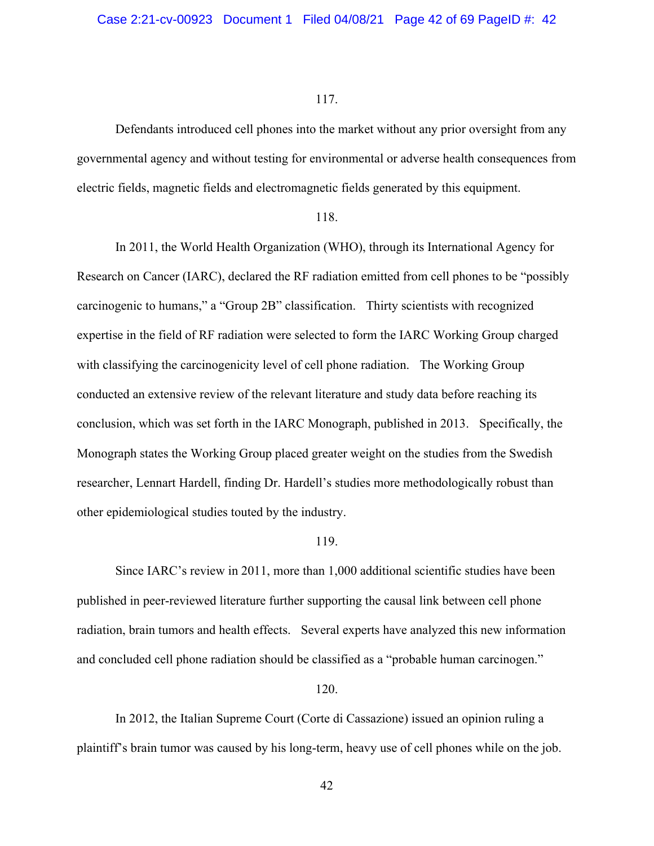Defendants introduced cell phones into the market without any prior oversight from any governmental agency and without testing for environmental or adverse health consequences from electric fields, magnetic fields and electromagnetic fields generated by this equipment.

#### 118.

In 2011, the World Health Organization (WHO), through its International Agency for Research on Cancer (IARC), declared the RF radiation emitted from cell phones to be "possibly carcinogenic to humans," a "Group 2B" classification. Thirty scientists with recognized expertise in the field of RF radiation were selected to form the IARC Working Group charged with classifying the carcinogenicity level of cell phone radiation. The Working Group conducted an extensive review of the relevant literature and study data before reaching its conclusion, which was set forth in the IARC Monograph, published in 2013. Specifically, the Monograph states the Working Group placed greater weight on the studies from the Swedish researcher, Lennart Hardell, finding Dr. Hardell's studies more methodologically robust than other epidemiological studies touted by the industry.

#### 119.

Since IARC's review in 2011, more than 1,000 additional scientific studies have been published in peer-reviewed literature further supporting the causal link between cell phone radiation, brain tumors and health effects. Several experts have analyzed this new information and concluded cell phone radiation should be classified as a "probable human carcinogen."

#### 120.

In 2012, the Italian Supreme Court (Corte di Cassazione) issued an opinion ruling a plaintiff's brain tumor was caused by his long-term, heavy use of cell phones while on the job.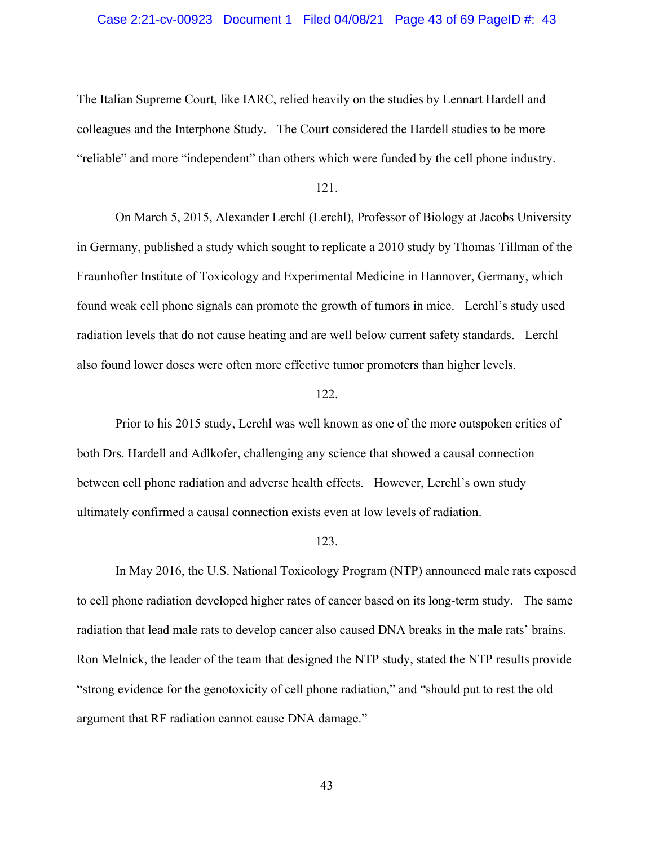#### Case 2:21-cv-00923 Document 1 Filed 04/08/21 Page 43 of 69 PageID #: 43

The Italian Supreme Court, like IARC, relied heavily on the studies by Lennart Hardell and colleagues and the Interphone Study. The Court considered the Hardell studies to be more "reliable" and more "independent" than others which were funded by the cell phone industry.

121.

On March 5, 2015, Alexander Lerchl (Lerchl), Professor of Biology at Jacobs University in Germany, published a study which sought to replicate a 2010 study by Thomas Tillman of the Fraunhofter Institute of Toxicology and Experimental Medicine in Hannover, Germany, which found weak cell phone signals can promote the growth of tumors in mice. Lerchl's study used radiation levels that do not cause heating and are well below current safety standards. Lerchl also found lower doses were often more effective tumor promoters than higher levels.

## 122.

Prior to his 2015 study, Lerchl was well known as one of the more outspoken critics of both Drs. Hardell and Adlkofer, challenging any science that showed a causal connection between cell phone radiation and adverse health effects. However, Lerchl's own study ultimately confirmed a causal connection exists even at low levels of radiation.

#### 123.

In May 2016, the U.S. National Toxicology Program (NTP) announced male rats exposed to cell phone radiation developed higher rates of cancer based on its long-term study. The same radiation that lead male rats to develop cancer also caused DNA breaks in the male rats' brains. Ron Melnick, the leader of the team that designed the NTP study, stated the NTP results provide "strong evidence for the genotoxicity of cell phone radiation," and "should put to rest the old argument that RF radiation cannot cause DNA damage."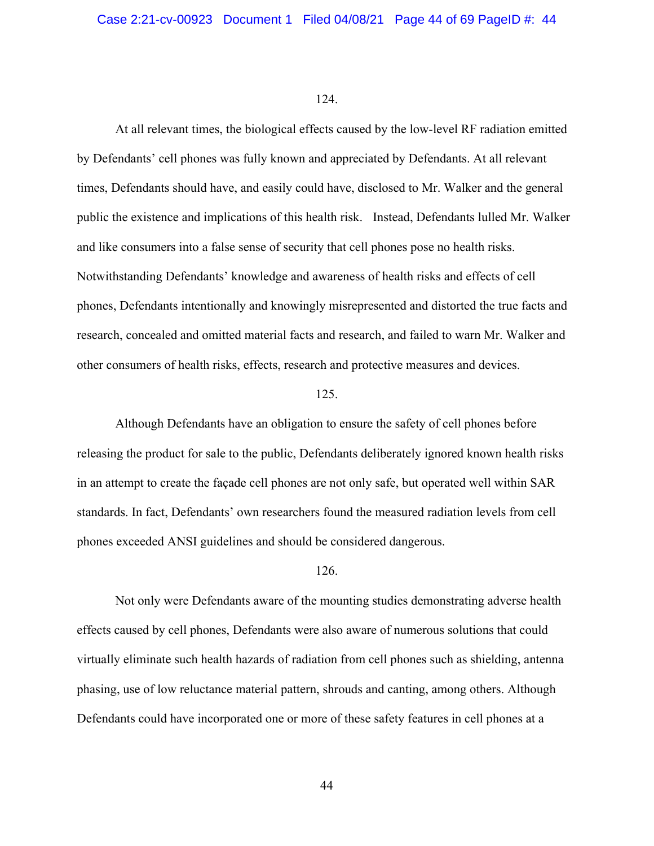At all relevant times, the biological effects caused by the low-level RF radiation emitted by Defendants' cell phones was fully known and appreciated by Defendants. At all relevant times, Defendants should have, and easily could have, disclosed to Mr. Walker and the general public the existence and implications of this health risk. Instead, Defendants lulled Mr. Walker and like consumers into a false sense of security that cell phones pose no health risks. Notwithstanding Defendants' knowledge and awareness of health risks and effects of cell phones, Defendants intentionally and knowingly misrepresented and distorted the true facts and research, concealed and omitted material facts and research, and failed to warn Mr. Walker and other consumers of health risks, effects, research and protective measures and devices.

## 125.

Although Defendants have an obligation to ensure the safety of cell phones before releasing the product for sale to the public, Defendants deliberately ignored known health risks in an attempt to create the façade cell phones are not only safe, but operated well within SAR standards. In fact, Defendants' own researchers found the measured radiation levels from cell phones exceeded ANSI guidelines and should be considered dangerous.

#### 126.

Not only were Defendants aware of the mounting studies demonstrating adverse health effects caused by cell phones, Defendants were also aware of numerous solutions that could virtually eliminate such health hazards of radiation from cell phones such as shielding, antenna phasing, use of low reluctance material pattern, shrouds and canting, among others. Although Defendants could have incorporated one or more of these safety features in cell phones at a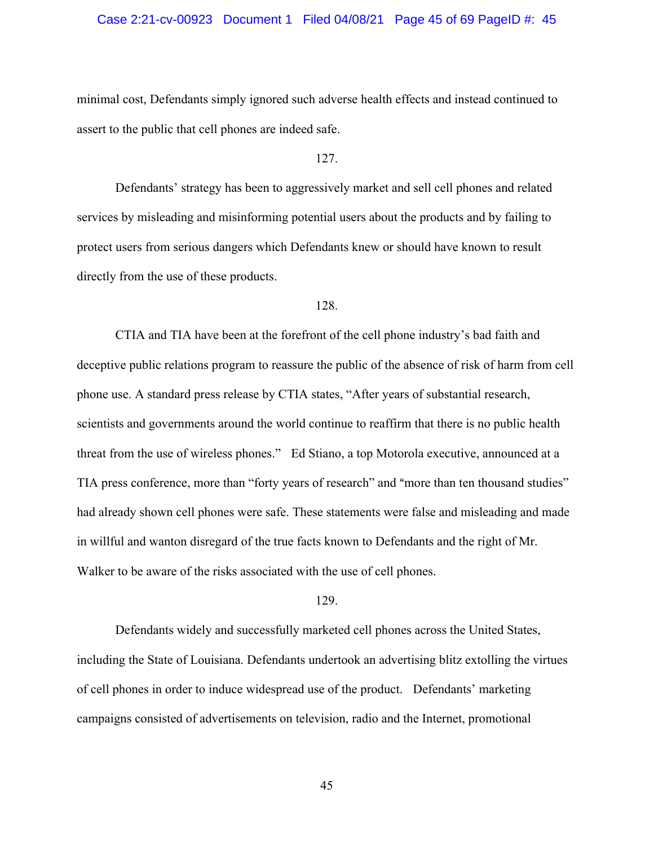### Case 2:21-cv-00923 Document 1 Filed 04/08/21 Page 45 of 69 PageID #: 45

minimal cost, Defendants simply ignored such adverse health effects and instead continued to assert to the public that cell phones are indeed safe.

### 127.

Defendants' strategy has been to aggressively market and sell cell phones and related services by misleading and misinforming potential users about the products and by failing to protect users from serious dangers which Defendants knew or should have known to result directly from the use of these products.

#### 128.

CTIA and TIA have been at the forefront of the cell phone industry's bad faith and deceptive public relations program to reassure the public of the absence of risk of harm from cell phone use. A standard press release by CTIA states, "After years of substantial research, scientists and governments around the world continue to reaffirm that there is no public health threat from the use of wireless phones." Ed Stiano, a top Motorola executive, announced at a TIA press conference, more than "forty years of research" and "more than ten thousand studies" had already shown cell phones were safe. These statements were false and misleading and made in willful and wanton disregard of the true facts known to Defendants and the right of Mr. Walker to be aware of the risks associated with the use of cell phones.

## 129.

Defendants widely and successfully marketed cell phones across the United States, including the State of Louisiana. Defendants undertook an advertising blitz extolling the virtues of cell phones in order to induce widespread use of the product. Defendants' marketing campaigns consisted of advertisements on television, radio and the Internet, promotional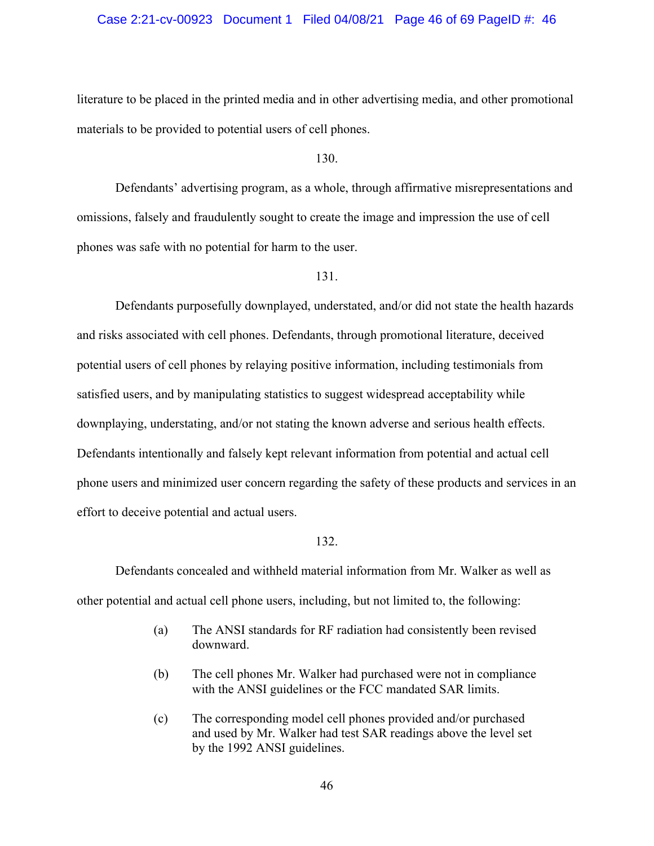### Case 2:21-cv-00923 Document 1 Filed 04/08/21 Page 46 of 69 PageID #: 46

literature to be placed in the printed media and in other advertising media, and other promotional materials to be provided to potential users of cell phones.

130.

Defendants' advertising program, as a whole, through affirmative misrepresentations and omissions, falsely and fraudulently sought to create the image and impression the use of cell phones was safe with no potential for harm to the user.

131.

Defendants purposefully downplayed, understated, and/or did not state the health hazards and risks associated with cell phones. Defendants, through promotional literature, deceived potential users of cell phones by relaying positive information, including testimonials from satisfied users, and by manipulating statistics to suggest widespread acceptability while downplaying, understating, and/or not stating the known adverse and serious health effects. Defendants intentionally and falsely kept relevant information from potential and actual cell phone users and minimized user concern regarding the safety of these products and services in an effort to deceive potential and actual users.

## 132.

Defendants concealed and withheld material information from Mr. Walker as well as other potential and actual cell phone users, including, but not limited to, the following:

- (a) The ANSI standards for RF radiation had consistently been revised downward.
- (b) The cell phones Mr. Walker had purchased were not in compliance with the ANSI guidelines or the FCC mandated SAR limits.
- (c) The corresponding model cell phones provided and/or purchased and used by Mr. Walker had test SAR readings above the level set by the 1992 ANSI guidelines.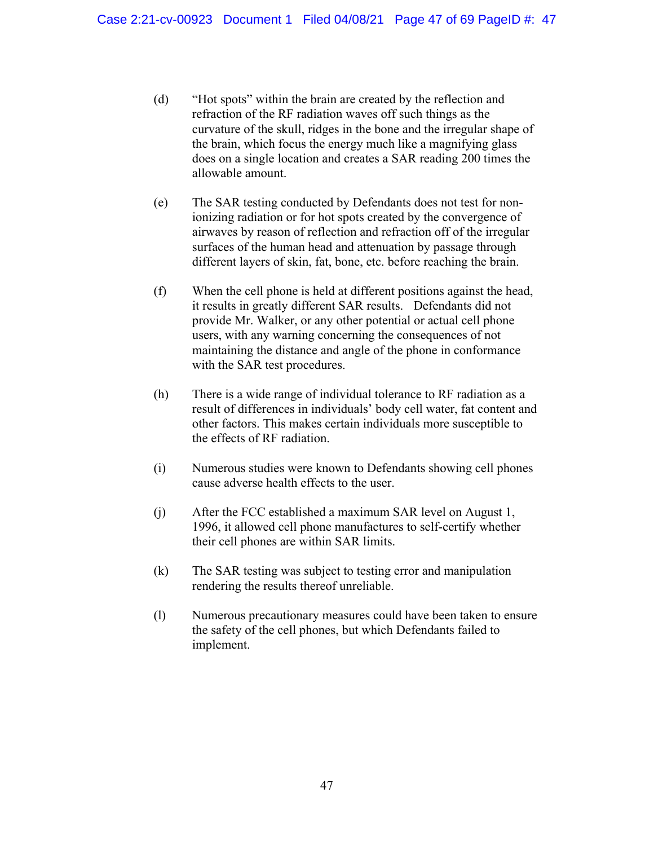- (d) "Hot spots" within the brain are created by the reflection and refraction of the RF radiation waves off such things as the curvature of the skull, ridges in the bone and the irregular shape of the brain, which focus the energy much like a magnifying glass does on a single location and creates a SAR reading 200 times the allowable amount.
- (e) The SAR testing conducted by Defendants does not test for nonionizing radiation or for hot spots created by the convergence of airwaves by reason of reflection and refraction off of the irregular surfaces of the human head and attenuation by passage through different layers of skin, fat, bone, etc. before reaching the brain.
- (f) When the cell phone is held at different positions against the head, it results in greatly different SAR results. Defendants did not provide Mr. Walker, or any other potential or actual cell phone users, with any warning concerning the consequences of not maintaining the distance and angle of the phone in conformance with the SAR test procedures.
- (h) There is a wide range of individual tolerance to RF radiation as a result of differences in individuals' body cell water, fat content and other factors. This makes certain individuals more susceptible to the effects of RF radiation.
- (i) Numerous studies were known to Defendants showing cell phones cause adverse health effects to the user.
- (j) After the FCC established a maximum SAR level on August 1, 1996, it allowed cell phone manufactures to self-certify whether their cell phones are within SAR limits.
- (k) The SAR testing was subject to testing error and manipulation rendering the results thereof unreliable.
- (l) Numerous precautionary measures could have been taken to ensure the safety of the cell phones, but which Defendants failed to implement.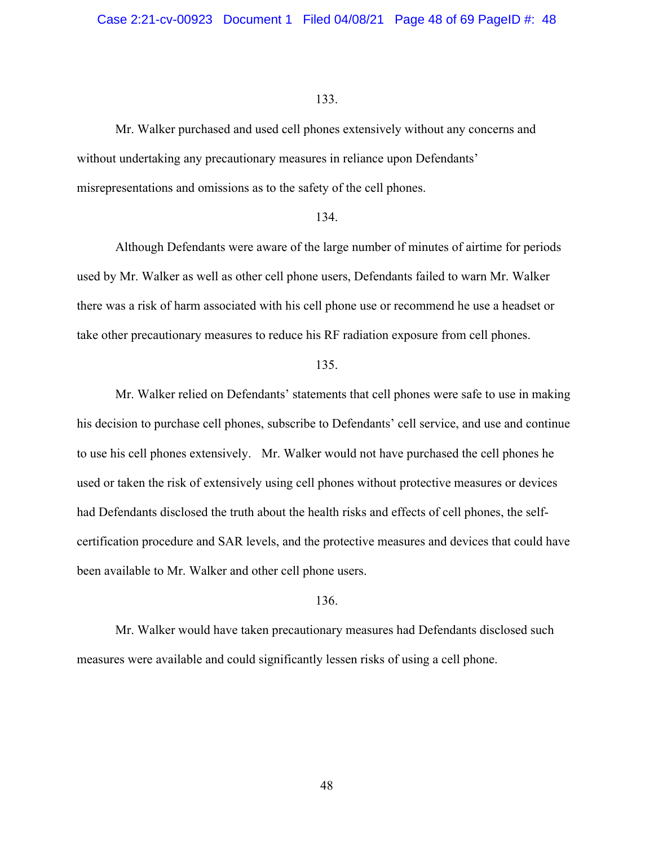Mr. Walker purchased and used cell phones extensively without any concerns and without undertaking any precautionary measures in reliance upon Defendants' misrepresentations and omissions as to the safety of the cell phones.

## 134.

Although Defendants were aware of the large number of minutes of airtime for periods used by Mr. Walker as well as other cell phone users, Defendants failed to warn Mr. Walker there was a risk of harm associated with his cell phone use or recommend he use a headset or take other precautionary measures to reduce his RF radiation exposure from cell phones.

#### 135.

Mr. Walker relied on Defendants' statements that cell phones were safe to use in making his decision to purchase cell phones, subscribe to Defendants' cell service, and use and continue to use his cell phones extensively. Mr. Walker would not have purchased the cell phones he used or taken the risk of extensively using cell phones without protective measures or devices had Defendants disclosed the truth about the health risks and effects of cell phones, the selfcertification procedure and SAR levels, and the protective measures and devices that could have been available to Mr. Walker and other cell phone users.

## 136.

Mr. Walker would have taken precautionary measures had Defendants disclosed such measures were available and could significantly lessen risks of using a cell phone.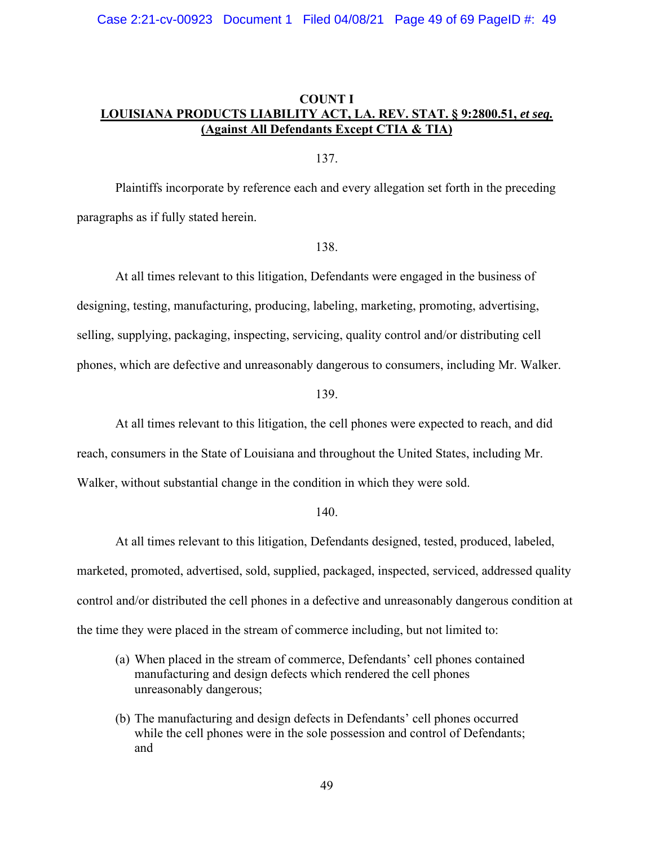## **COUNT I LOUISIANA PRODUCTS LIABILITY ACT, LA. REV. STAT. § 9:2800.51,** *et seq.* **(Against All Defendants Except CTIA & TIA)**

137.

Plaintiffs incorporate by reference each and every allegation set forth in the preceding paragraphs as if fully stated herein.

## 138.

At all times relevant to this litigation, Defendants were engaged in the business of designing, testing, manufacturing, producing, labeling, marketing, promoting, advertising, selling, supplying, packaging, inspecting, servicing, quality control and/or distributing cell phones, which are defective and unreasonably dangerous to consumers, including Mr. Walker.

139.

At all times relevant to this litigation, the cell phones were expected to reach, and did reach, consumers in the State of Louisiana and throughout the United States, including Mr. Walker, without substantial change in the condition in which they were sold.

## 140.

At all times relevant to this litigation, Defendants designed, tested, produced, labeled, marketed, promoted, advertised, sold, supplied, packaged, inspected, serviced, addressed quality control and/or distributed the cell phones in a defective and unreasonably dangerous condition at the time they were placed in the stream of commerce including, but not limited to:

- (a) When placed in the stream of commerce, Defendants' cell phones contained manufacturing and design defects which rendered the cell phones unreasonably dangerous;
- (b) The manufacturing and design defects in Defendants' cell phones occurred while the cell phones were in the sole possession and control of Defendants; and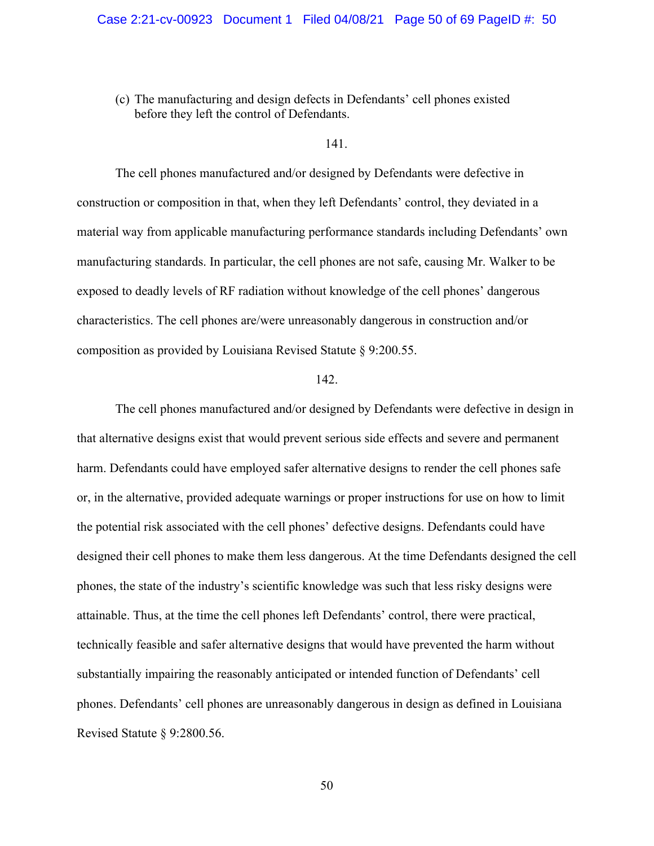(c) The manufacturing and design defects in Defendants' cell phones existed before they left the control of Defendants.

#### 141.

The cell phones manufactured and/or designed by Defendants were defective in construction or composition in that, when they left Defendants' control, they deviated in a material way from applicable manufacturing performance standards including Defendants' own manufacturing standards. In particular, the cell phones are not safe, causing Mr. Walker to be exposed to deadly levels of RF radiation without knowledge of the cell phones' dangerous characteristics. The cell phones are/were unreasonably dangerous in construction and/or composition as provided by Louisiana Revised Statute § 9:200.55.

#### 142.

The cell phones manufactured and/or designed by Defendants were defective in design in that alternative designs exist that would prevent serious side effects and severe and permanent harm. Defendants could have employed safer alternative designs to render the cell phones safe or, in the alternative, provided adequate warnings or proper instructions for use on how to limit the potential risk associated with the cell phones' defective designs. Defendants could have designed their cell phones to make them less dangerous. At the time Defendants designed the cell phones, the state of the industry's scientific knowledge was such that less risky designs were attainable. Thus, at the time the cell phones left Defendants' control, there were practical, technically feasible and safer alternative designs that would have prevented the harm without substantially impairing the reasonably anticipated or intended function of Defendants' cell phones. Defendants' cell phones are unreasonably dangerous in design as defined in Louisiana Revised Statute § 9:2800.56.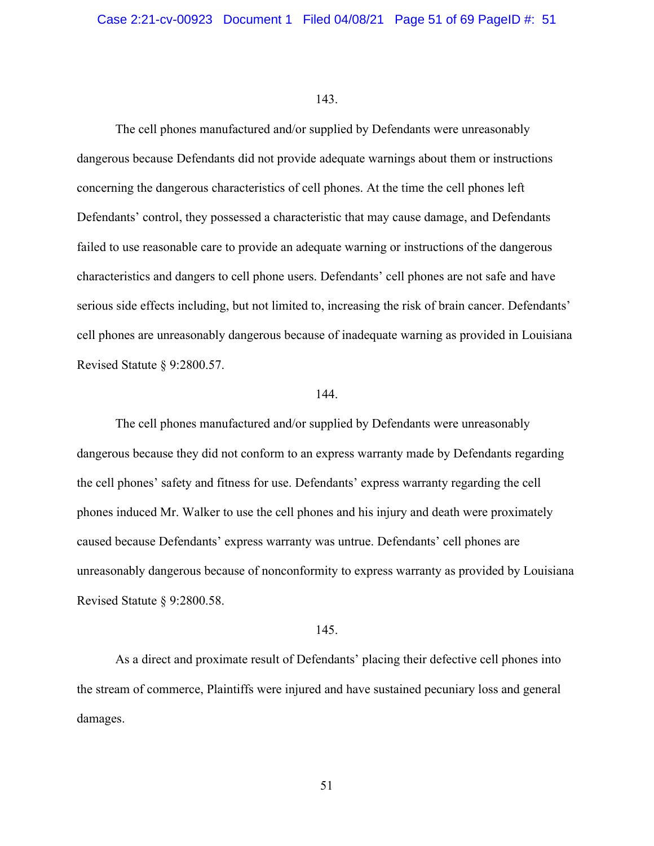The cell phones manufactured and/or supplied by Defendants were unreasonably dangerous because Defendants did not provide adequate warnings about them or instructions concerning the dangerous characteristics of cell phones. At the time the cell phones left Defendants' control, they possessed a characteristic that may cause damage, and Defendants failed to use reasonable care to provide an adequate warning or instructions of the dangerous characteristics and dangers to cell phone users. Defendants' cell phones are not safe and have serious side effects including, but not limited to, increasing the risk of brain cancer. Defendants' cell phones are unreasonably dangerous because of inadequate warning as provided in Louisiana Revised Statute § 9:2800.57.

## 144.

The cell phones manufactured and/or supplied by Defendants were unreasonably dangerous because they did not conform to an express warranty made by Defendants regarding the cell phones' safety and fitness for use. Defendants' express warranty regarding the cell phones induced Mr. Walker to use the cell phones and his injury and death were proximately caused because Defendants' express warranty was untrue. Defendants' cell phones are unreasonably dangerous because of nonconformity to express warranty as provided by Louisiana Revised Statute § 9:2800.58.

## 145.

As a direct and proximate result of Defendants' placing their defective cell phones into the stream of commerce, Plaintiffs were injured and have sustained pecuniary loss and general damages.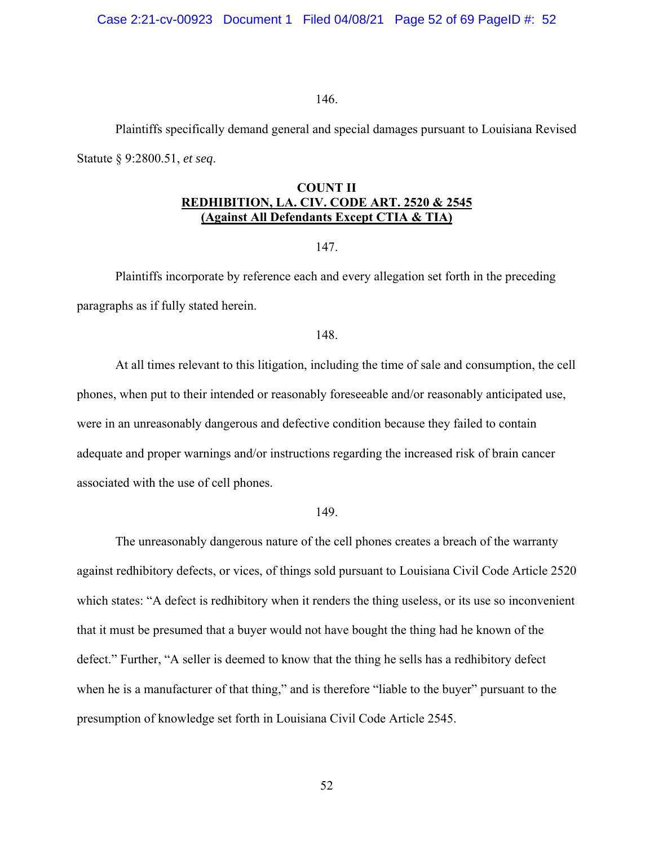Case 2:21-cv-00923 Document 1 Filed 04/08/21 Page 52 of 69 PageID #: 52

146.

Plaintiffs specifically demand general and special damages pursuant to Louisiana Revised Statute § 9:2800.51, *et seq*.

## **COUNT II REDHIBITION, LA. CIV. CODE ART. 2520 & 2545 (Against All Defendants Except CTIA & TIA)**

147.

Plaintiffs incorporate by reference each and every allegation set forth in the preceding paragraphs as if fully stated herein.

## 148.

At all times relevant to this litigation, including the time of sale and consumption, the cell phones, when put to their intended or reasonably foreseeable and/or reasonably anticipated use, were in an unreasonably dangerous and defective condition because they failed to contain adequate and proper warnings and/or instructions regarding the increased risk of brain cancer associated with the use of cell phones.

#### 149.

The unreasonably dangerous nature of the cell phones creates a breach of the warranty against redhibitory defects, or vices, of things sold pursuant to Louisiana Civil Code Article 2520 which states: "A defect is redhibitory when it renders the thing useless, or its use so inconvenient that it must be presumed that a buyer would not have bought the thing had he known of the defect." Further, "A seller is deemed to know that the thing he sells has a redhibitory defect when he is a manufacturer of that thing," and is therefore "liable to the buyer" pursuant to the presumption of knowledge set forth in Louisiana Civil Code Article 2545.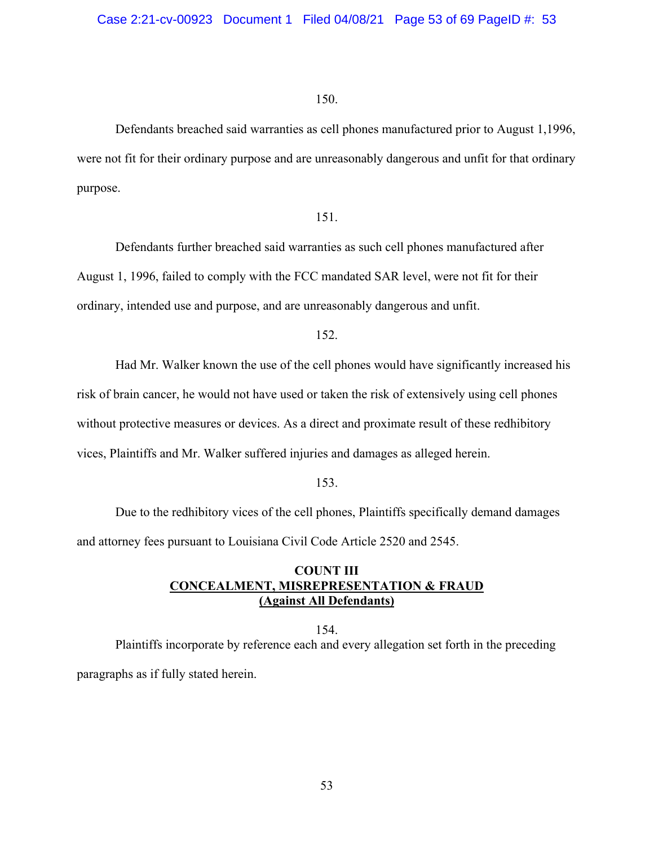Defendants breached said warranties as cell phones manufactured prior to August 1,1996, were not fit for their ordinary purpose and are unreasonably dangerous and unfit for that ordinary purpose.

## 151.

Defendants further breached said warranties as such cell phones manufactured after August 1, 1996, failed to comply with the FCC mandated SAR level, were not fit for their ordinary, intended use and purpose, and are unreasonably dangerous and unfit.

152.

Had Mr. Walker known the use of the cell phones would have significantly increased his risk of brain cancer, he would not have used or taken the risk of extensively using cell phones without protective measures or devices. As a direct and proximate result of these redhibitory vices, Plaintiffs and Mr. Walker suffered injuries and damages as alleged herein.

153.

Due to the redhibitory vices of the cell phones, Plaintiffs specifically demand damages and attorney fees pursuant to Louisiana Civil Code Article 2520 and 2545.

## **COUNT III CONCEALMENT, MISREPRESENTATION & FRAUD (Against All Defendants)**

154. Plaintiffs incorporate by reference each and every allegation set forth in the preceding paragraphs as if fully stated herein.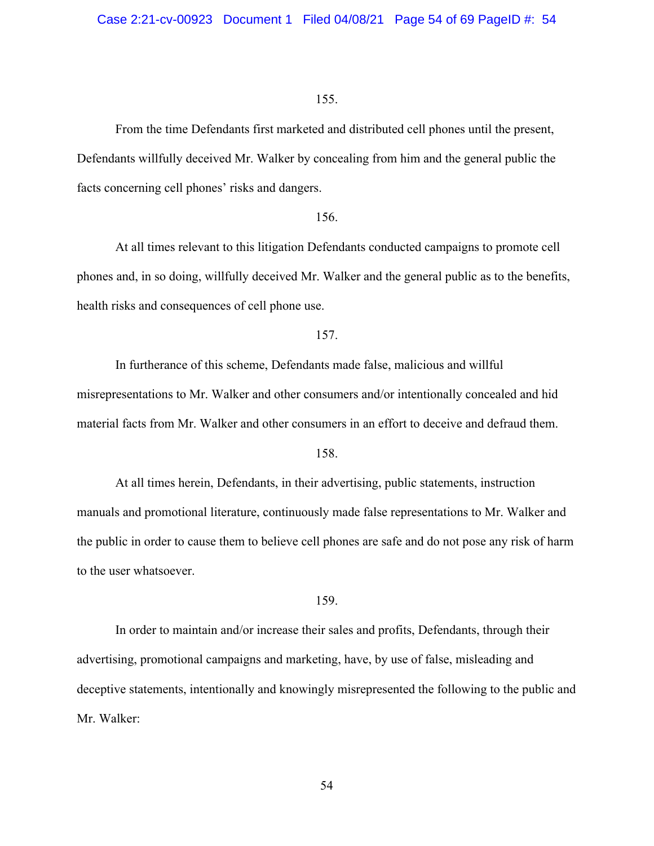From the time Defendants first marketed and distributed cell phones until the present, Defendants willfully deceived Mr. Walker by concealing from him and the general public the facts concerning cell phones' risks and dangers.

### 156.

At all times relevant to this litigation Defendants conducted campaigns to promote cell phones and, in so doing, willfully deceived Mr. Walker and the general public as to the benefits, health risks and consequences of cell phone use.

## 157.

In furtherance of this scheme, Defendants made false, malicious and willful misrepresentations to Mr. Walker and other consumers and/or intentionally concealed and hid material facts from Mr. Walker and other consumers in an effort to deceive and defraud them.

#### 158.

At all times herein, Defendants, in their advertising, public statements, instruction manuals and promotional literature, continuously made false representations to Mr. Walker and the public in order to cause them to believe cell phones are safe and do not pose any risk of harm to the user whatsoever.

#### 159.

In order to maintain and/or increase their sales and profits, Defendants, through their advertising, promotional campaigns and marketing, have, by use of false, misleading and deceptive statements, intentionally and knowingly misrepresented the following to the public and Mr. Walker: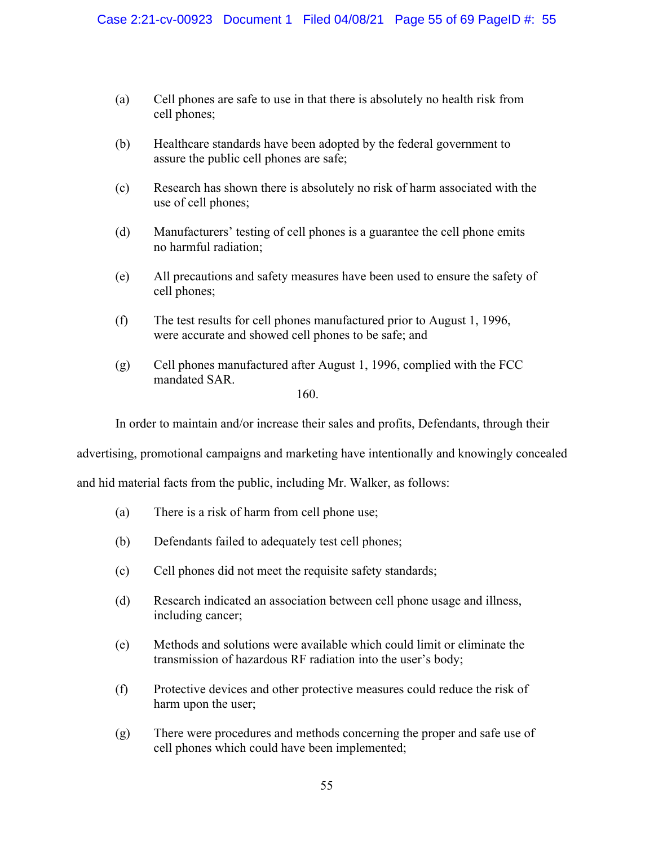- (a) Cell phones are safe to use in that there is absolutely no health risk from cell phones;
- (b) Healthcare standards have been adopted by the federal government to assure the public cell phones are safe;
- (c) Research has shown there is absolutely no risk of harm associated with the use of cell phones;
- (d) Manufacturers' testing of cell phones is a guarantee the cell phone emits no harmful radiation;
- (e) All precautions and safety measures have been used to ensure the safety of cell phones;
- (f) The test results for cell phones manufactured prior to August 1, 1996, were accurate and showed cell phones to be safe; and
- (g) Cell phones manufactured after August 1, 1996, complied with the FCC mandated SAR.

In order to maintain and/or increase their sales and profits, Defendants, through their

advertising, promotional campaigns and marketing have intentionally and knowingly concealed

and hid material facts from the public, including Mr. Walker, as follows:

- (a) There is a risk of harm from cell phone use;
- (b) Defendants failed to adequately test cell phones;
- (c) Cell phones did not meet the requisite safety standards;
- (d) Research indicated an association between cell phone usage and illness, including cancer;
- (e) Methods and solutions were available which could limit or eliminate the transmission of hazardous RF radiation into the user's body;
- (f) Protective devices and other protective measures could reduce the risk of harm upon the user;
- (g) There were procedures and methods concerning the proper and safe use of cell phones which could have been implemented;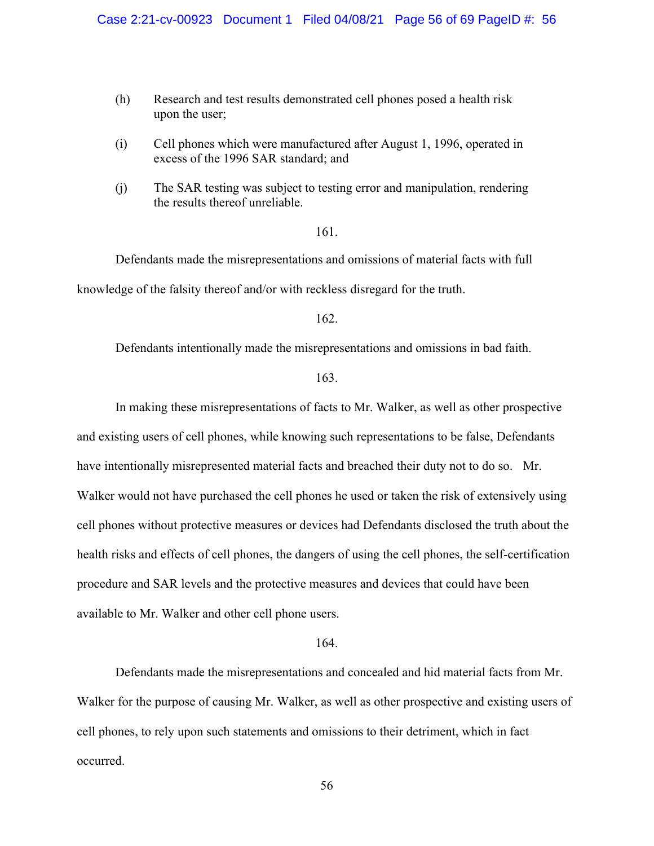- (h) Research and test results demonstrated cell phones posed a health risk upon the user;
- (i) Cell phones which were manufactured after August 1, 1996, operated in excess of the 1996 SAR standard; and
- (j) The SAR testing was subject to testing error and manipulation, rendering the results thereof unreliable.

Defendants made the misrepresentations and omissions of material facts with full knowledge of the falsity thereof and/or with reckless disregard for the truth.

162.

Defendants intentionally made the misrepresentations and omissions in bad faith.

163.

In making these misrepresentations of facts to Mr. Walker, as well as other prospective and existing users of cell phones, while knowing such representations to be false, Defendants have intentionally misrepresented material facts and breached their duty not to do so. Mr. Walker would not have purchased the cell phones he used or taken the risk of extensively using cell phones without protective measures or devices had Defendants disclosed the truth about the health risks and effects of cell phones, the dangers of using the cell phones, the self-certification procedure and SAR levels and the protective measures and devices that could have been available to Mr. Walker and other cell phone users.

164.

Defendants made the misrepresentations and concealed and hid material facts from Mr. Walker for the purpose of causing Mr. Walker, as well as other prospective and existing users of cell phones, to rely upon such statements and omissions to their detriment, which in fact occurred.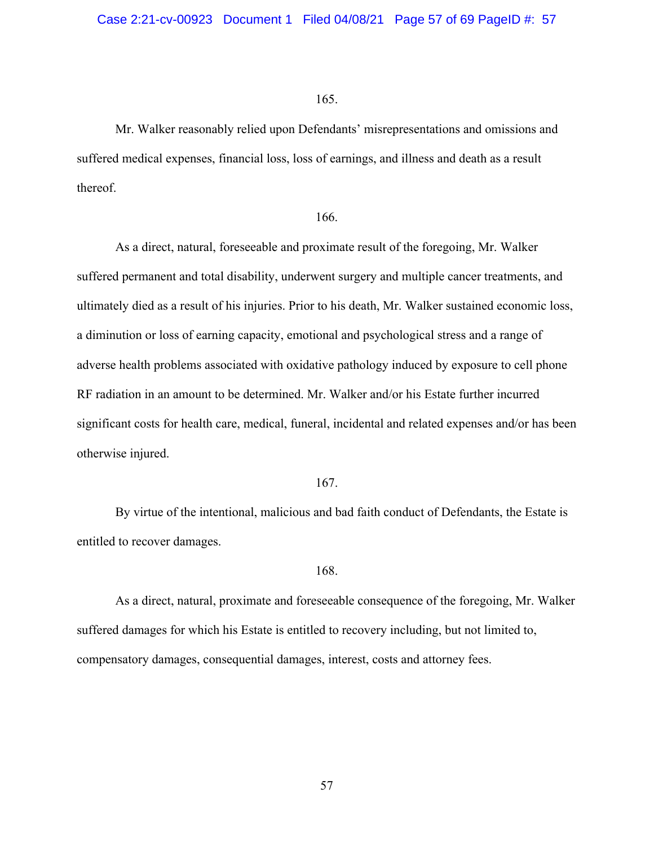Mr. Walker reasonably relied upon Defendants' misrepresentations and omissions and suffered medical expenses, financial loss, loss of earnings, and illness and death as a result thereof.

#### 166.

As a direct, natural, foreseeable and proximate result of the foregoing, Mr. Walker suffered permanent and total disability, underwent surgery and multiple cancer treatments, and ultimately died as a result of his injuries. Prior to his death, Mr. Walker sustained economic loss, a diminution or loss of earning capacity, emotional and psychological stress and a range of adverse health problems associated with oxidative pathology induced by exposure to cell phone RF radiation in an amount to be determined. Mr. Walker and/or his Estate further incurred significant costs for health care, medical, funeral, incidental and related expenses and/or has been otherwise injured.

#### 167.

By virtue of the intentional, malicious and bad faith conduct of Defendants, the Estate is entitled to recover damages.

### 168.

As a direct, natural, proximate and foreseeable consequence of the foregoing, Mr. Walker suffered damages for which his Estate is entitled to recovery including, but not limited to, compensatory damages, consequential damages, interest, costs and attorney fees.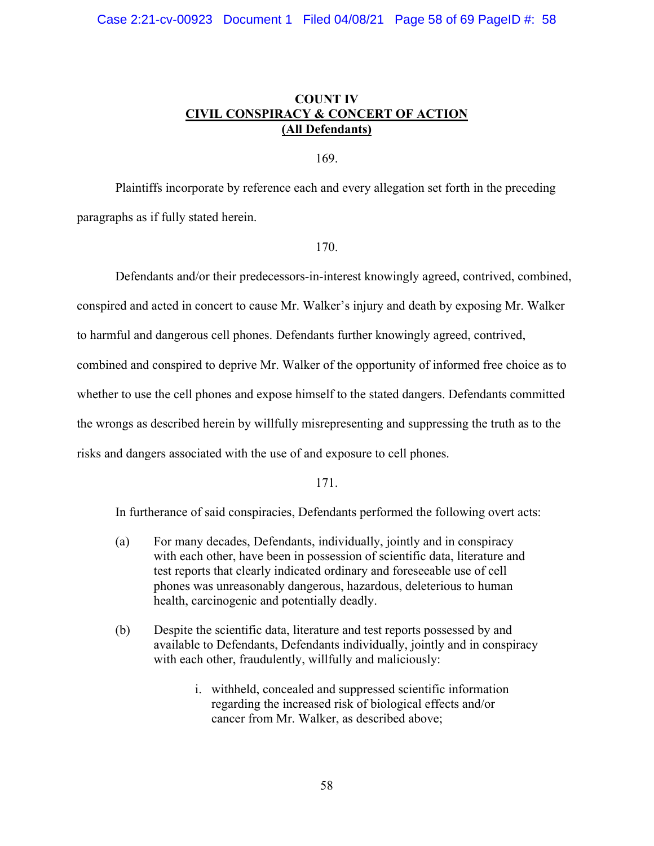## **COUNT IV CIVIL CONSPIRACY & CONCERT OF ACTION (All Defendants)**

169.

Plaintiffs incorporate by reference each and every allegation set forth in the preceding paragraphs as if fully stated herein.

## 170.

Defendants and/or their predecessors-in-interest knowingly agreed, contrived, combined, conspired and acted in concert to cause Mr. Walker's injury and death by exposing Mr. Walker to harmful and dangerous cell phones. Defendants further knowingly agreed, contrived, combined and conspired to deprive Mr. Walker of the opportunity of informed free choice as to whether to use the cell phones and expose himself to the stated dangers. Defendants committed the wrongs as described herein by willfully misrepresenting and suppressing the truth as to the risks and dangers associated with the use of and exposure to cell phones.

171.

In furtherance of said conspiracies, Defendants performed the following overt acts:

- (a) For many decades, Defendants, individually, jointly and in conspiracy with each other, have been in possession of scientific data, literature and test reports that clearly indicated ordinary and foreseeable use of cell phones was unreasonably dangerous, hazardous, deleterious to human health, carcinogenic and potentially deadly.
- (b) Despite the scientific data, literature and test reports possessed by and available to Defendants, Defendants individually, jointly and in conspiracy with each other, fraudulently, willfully and maliciously:
	- i. withheld, concealed and suppressed scientific information regarding the increased risk of biological effects and/or cancer from Mr. Walker, as described above;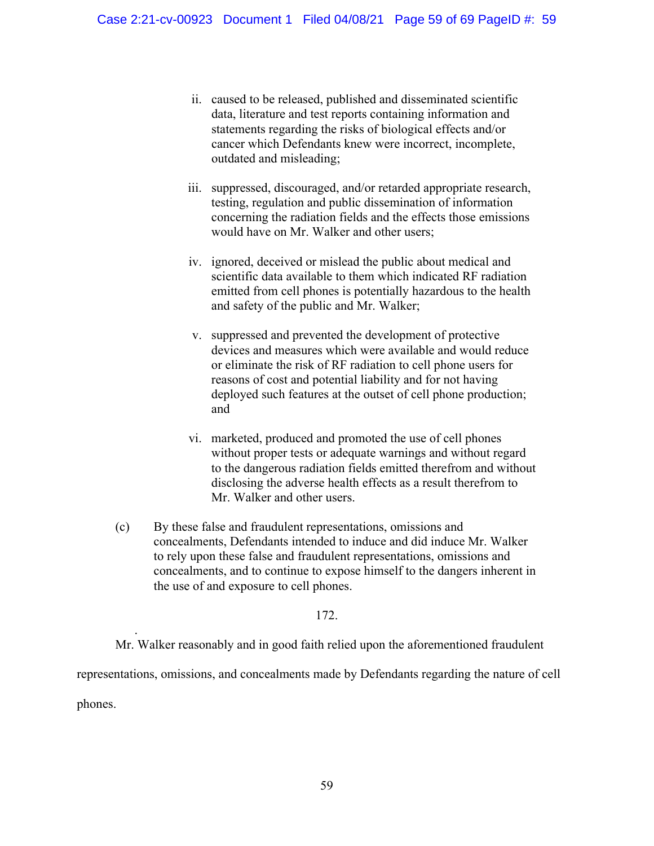- ii. caused to be released, published and disseminated scientific data, literature and test reports containing information and statements regarding the risks of biological effects and/or cancer which Defendants knew were incorrect, incomplete, outdated and misleading;
- iii. suppressed, discouraged, and/or retarded appropriate research, testing, regulation and public dissemination of information concerning the radiation fields and the effects those emissions would have on Mr. Walker and other users;
- iv. ignored, deceived or mislead the public about medical and scientific data available to them which indicated RF radiation emitted from cell phones is potentially hazardous to the health and safety of the public and Mr. Walker;
- v. suppressed and prevented the development of protective devices and measures which were available and would reduce or eliminate the risk of RF radiation to cell phone users for reasons of cost and potential liability and for not having deployed such features at the outset of cell phone production; and
- vi. marketed, produced and promoted the use of cell phones without proper tests or adequate warnings and without regard to the dangerous radiation fields emitted therefrom and without disclosing the adverse health effects as a result therefrom to Mr. Walker and other users.
- (c) By these false and fraudulent representations, omissions and concealments, Defendants intended to induce and did induce Mr. Walker to rely upon these false and fraudulent representations, omissions and concealments, and to continue to expose himself to the dangers inherent in the use of and exposure to cell phones.

Mr. Walker reasonably and in good faith relied upon the aforementioned fraudulent

representations, omissions, and concealments made by Defendants regarding the nature of cell

phones.

.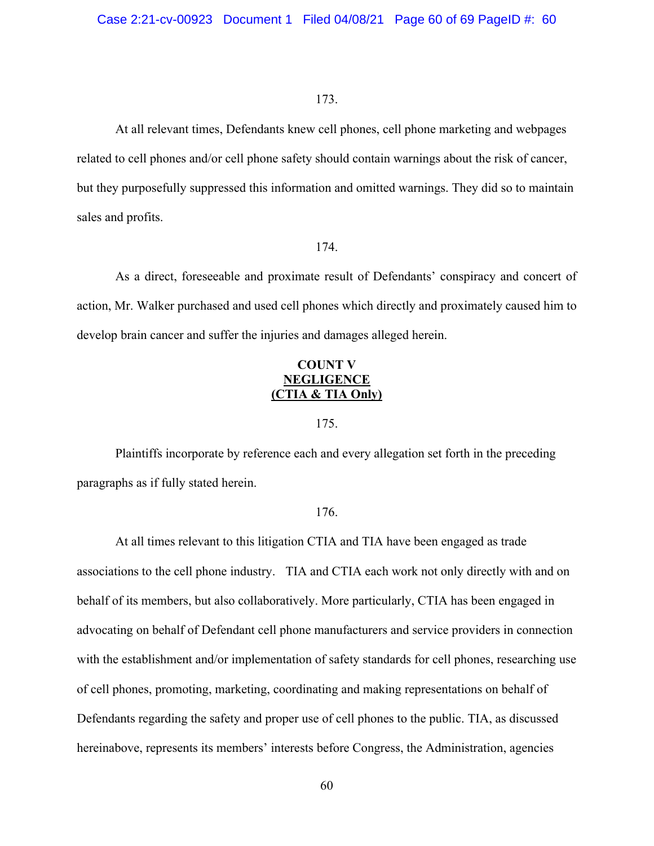At all relevant times, Defendants knew cell phones, cell phone marketing and webpages related to cell phones and/or cell phone safety should contain warnings about the risk of cancer, but they purposefully suppressed this information and omitted warnings. They did so to maintain sales and profits.

### 174.

As a direct, foreseeable and proximate result of Defendants' conspiracy and concert of action, Mr. Walker purchased and used cell phones which directly and proximately caused him to develop brain cancer and suffer the injuries and damages alleged herein.

## **COUNT V NEGLIGENCE (CTIA & TIA Only)**

## 175.

Plaintiffs incorporate by reference each and every allegation set forth in the preceding paragraphs as if fully stated herein.

## 176.

At all times relevant to this litigation CTIA and TIA have been engaged as trade associations to the cell phone industry. TIA and CTIA each work not only directly with and on behalf of its members, but also collaboratively. More particularly, CTIA has been engaged in advocating on behalf of Defendant cell phone manufacturers and service providers in connection with the establishment and/or implementation of safety standards for cell phones, researching use of cell phones, promoting, marketing, coordinating and making representations on behalf of Defendants regarding the safety and proper use of cell phones to the public. TIA, as discussed hereinabove, represents its members' interests before Congress, the Administration, agencies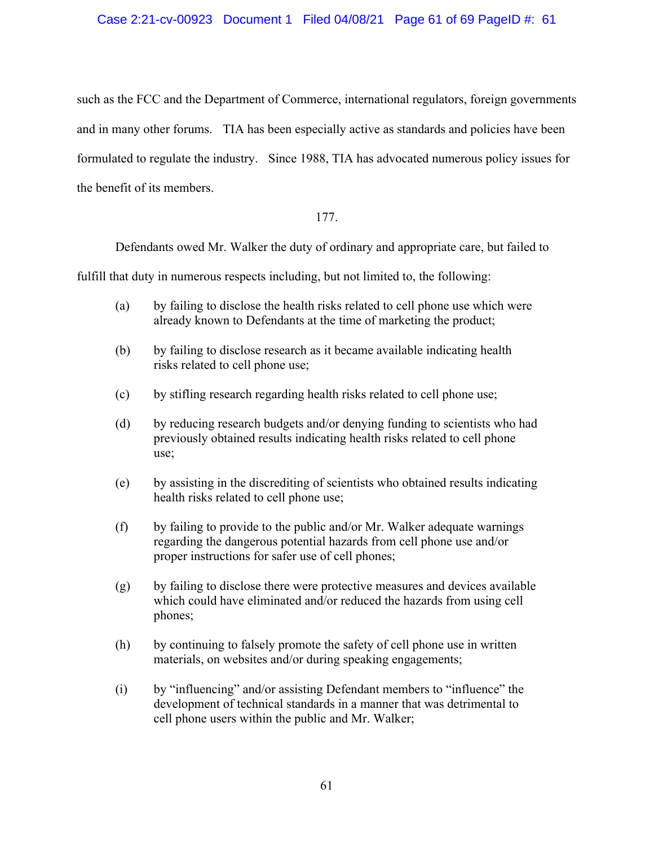## Case 2:21-cv-00923 Document 1 Filed 04/08/21 Page 61 of 69 PageID #: 61

such as the FCC and the Department of Commerce, international regulators, foreign governments and in many other forums. TIA has been especially active as standards and policies have been formulated to regulate the industry. Since 1988, TIA has advocated numerous policy issues for the benefit of its members.

## 177.

Defendants owed Mr. Walker the duty of ordinary and appropriate care, but failed to

fulfill that duty in numerous respects including, but not limited to, the following:

- (a) by failing to disclose the health risks related to cell phone use which were already known to Defendants at the time of marketing the product;
- (b) by failing to disclose research as it became available indicating health risks related to cell phone use;
- (c) by stifling research regarding health risks related to cell phone use;
- (d) by reducing research budgets and/or denying funding to scientists who had previously obtained results indicating health risks related to cell phone use;
- (e) by assisting in the discrediting of scientists who obtained results indicating health risks related to cell phone use;
- (f) by failing to provide to the public and/or Mr. Walker adequate warnings regarding the dangerous potential hazards from cell phone use and/or proper instructions for safer use of cell phones;
- (g) by failing to disclose there were protective measures and devices available which could have eliminated and/or reduced the hazards from using cell phones;
- (h) by continuing to falsely promote the safety of cell phone use in written materials, on websites and/or during speaking engagements;
- (i) by "influencing" and/or assisting Defendant members to "influence" the development of technical standards in a manner that was detrimental to cell phone users within the public and Mr. Walker;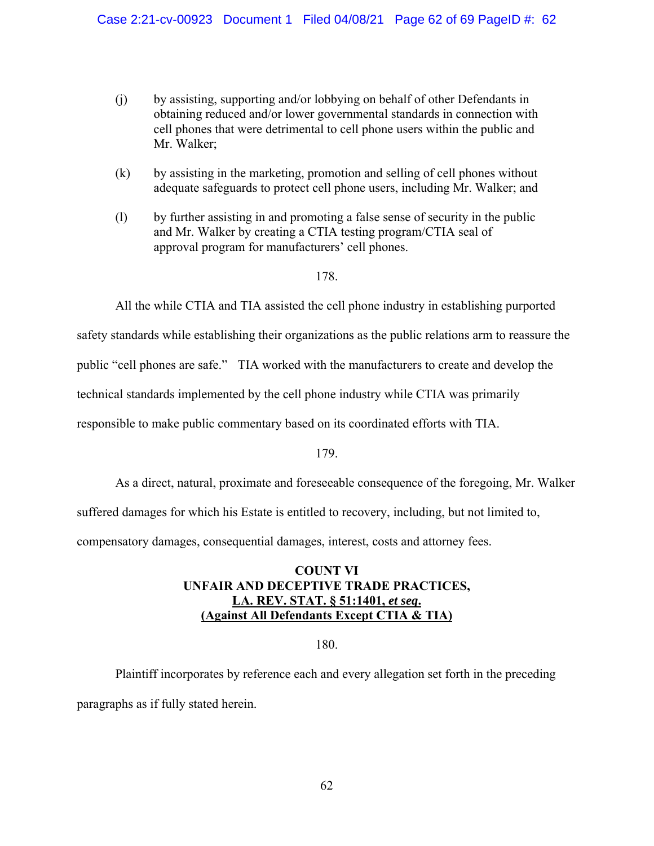- (j) by assisting, supporting and/or lobbying on behalf of other Defendants in obtaining reduced and/or lower governmental standards in connection with cell phones that were detrimental to cell phone users within the public and Mr. Walker;
- (k) by assisting in the marketing, promotion and selling of cell phones without adequate safeguards to protect cell phone users, including Mr. Walker; and
- (l) by further assisting in and promoting a false sense of security in the public and Mr. Walker by creating a CTIA testing program/CTIA seal of approval program for manufacturers' cell phones.

All the while CTIA and TIA assisted the cell phone industry in establishing purported

safety standards while establishing their organizations as the public relations arm to reassure the

public "cell phones are safe." TIA worked with the manufacturers to create and develop the

technical standards implemented by the cell phone industry while CTIA was primarily

responsible to make public commentary based on its coordinated efforts with TIA.

## 179.

As a direct, natural, proximate and foreseeable consequence of the foregoing, Mr. Walker

suffered damages for which his Estate is entitled to recovery, including, but not limited to,

compensatory damages, consequential damages, interest, costs and attorney fees.

## **COUNT VI UNFAIR AND DECEPTIVE TRADE PRACTICES, LA. REV. STAT. § 51:1401,** *et seq***. (Against All Defendants Except CTIA & TIA)**

## 180.

Plaintiff incorporates by reference each and every allegation set forth in the preceding paragraphs as if fully stated herein.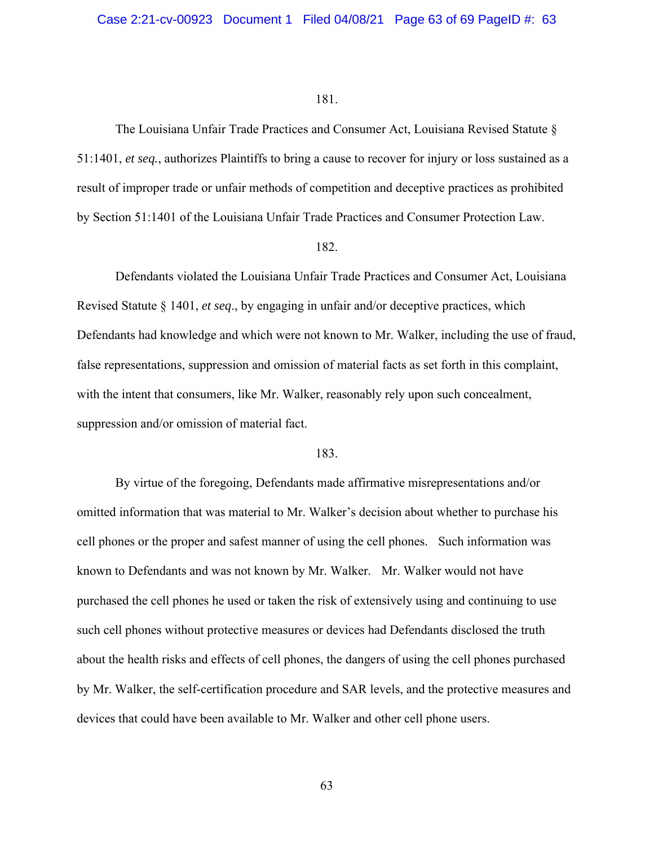The Louisiana Unfair Trade Practices and Consumer Act, Louisiana Revised Statute § 51:1401, *et seq.*, authorizes Plaintiffs to bring a cause to recover for injury or loss sustained as a result of improper trade or unfair methods of competition and deceptive practices as prohibited by Section 51:1401 of the Louisiana Unfair Trade Practices and Consumer Protection Law.

## 182.

Defendants violated the Louisiana Unfair Trade Practices and Consumer Act, Louisiana Revised Statute § 1401, *et seq*., by engaging in unfair and/or deceptive practices, which Defendants had knowledge and which were not known to Mr. Walker, including the use of fraud, false representations, suppression and omission of material facts as set forth in this complaint, with the intent that consumers, like Mr. Walker, reasonably rely upon such concealment, suppression and/or omission of material fact.

## 183.

By virtue of the foregoing, Defendants made affirmative misrepresentations and/or omitted information that was material to Mr. Walker's decision about whether to purchase his cell phones or the proper and safest manner of using the cell phones. Such information was known to Defendants and was not known by Mr. Walker. Mr. Walker would not have purchased the cell phones he used or taken the risk of extensively using and continuing to use such cell phones without protective measures or devices had Defendants disclosed the truth about the health risks and effects of cell phones, the dangers of using the cell phones purchased by Mr. Walker, the self-certification procedure and SAR levels, and the protective measures and devices that could have been available to Mr. Walker and other cell phone users.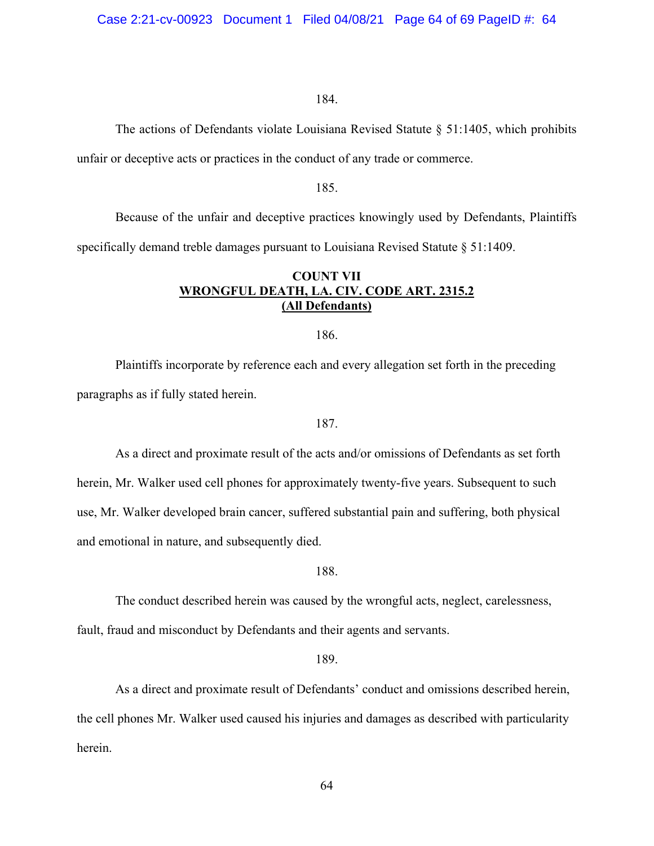The actions of Defendants violate Louisiana Revised Statute § 51:1405, which prohibits unfair or deceptive acts or practices in the conduct of any trade or commerce.

## 185.

Because of the unfair and deceptive practices knowingly used by Defendants, Plaintiffs specifically demand treble damages pursuant to Louisiana Revised Statute § 51:1409.

## **COUNT VII WRONGFUL DEATH, LA. CIV. CODE ART. 2315.2 (All Defendants)**

## 186.

Plaintiffs incorporate by reference each and every allegation set forth in the preceding paragraphs as if fully stated herein.

### 187.

As a direct and proximate result of the acts and/or omissions of Defendants as set forth herein, Mr. Walker used cell phones for approximately twenty-five years. Subsequent to such use, Mr. Walker developed brain cancer, suffered substantial pain and suffering, both physical and emotional in nature, and subsequently died.

### 188.

The conduct described herein was caused by the wrongful acts, neglect, carelessness,

fault, fraud and misconduct by Defendants and their agents and servants.

189.

As a direct and proximate result of Defendants' conduct and omissions described herein, the cell phones Mr. Walker used caused his injuries and damages as described with particularity herein.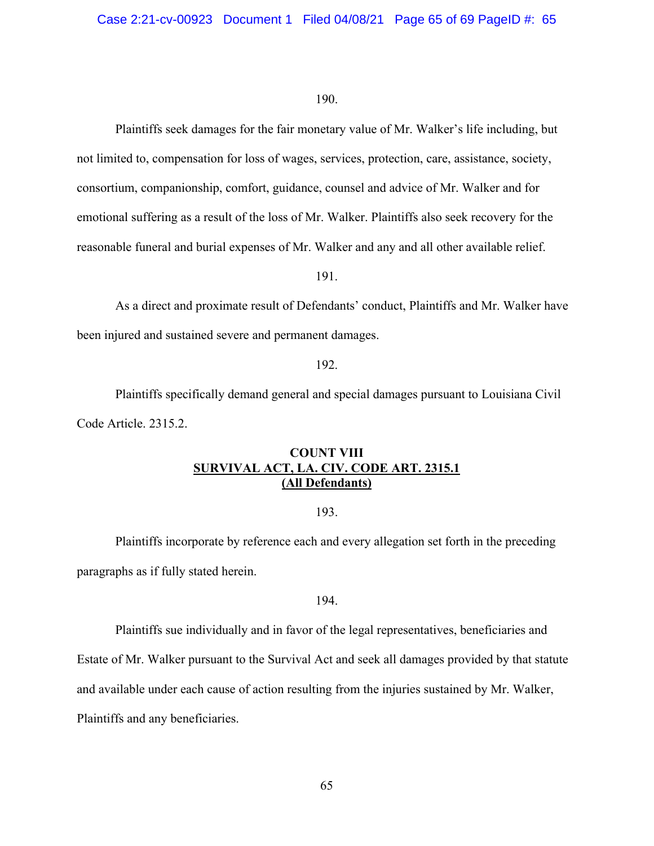Plaintiffs seek damages for the fair monetary value of Mr. Walker's life including, but not limited to, compensation for loss of wages, services, protection, care, assistance, society, consortium, companionship, comfort, guidance, counsel and advice of Mr. Walker and for emotional suffering as a result of the loss of Mr. Walker. Plaintiffs also seek recovery for the reasonable funeral and burial expenses of Mr. Walker and any and all other available relief.

191.

As a direct and proximate result of Defendants' conduct, Plaintiffs and Mr. Walker have been injured and sustained severe and permanent damages.

## 192.

Plaintiffs specifically demand general and special damages pursuant to Louisiana Civil Code Article. 2315.2.

## **COUNT VIII SURVIVAL ACT, LA. CIV. CODE ART. 2315.1 (All Defendants)**

## 193.

Plaintiffs incorporate by reference each and every allegation set forth in the preceding paragraphs as if fully stated herein.

## 194.

Plaintiffs sue individually and in favor of the legal representatives, beneficiaries and

Estate of Mr. Walker pursuant to the Survival Act and seek all damages provided by that statute

and available under each cause of action resulting from the injuries sustained by Mr. Walker,

Plaintiffs and any beneficiaries.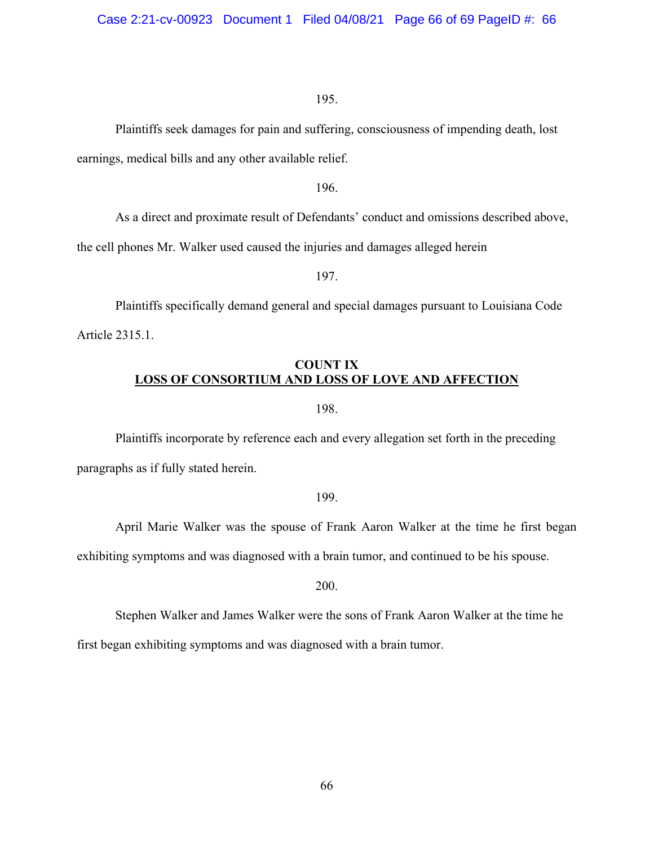Plaintiffs seek damages for pain and suffering, consciousness of impending death, lost earnings, medical bills and any other available relief.

196.

As a direct and proximate result of Defendants' conduct and omissions described above,

the cell phones Mr. Walker used caused the injuries and damages alleged herein

197.

Plaintiffs specifically demand general and special damages pursuant to Louisiana Code Article 2315.1.

## **COUNT IX LOSS OF CONSORTIUM AND LOSS OF LOVE AND AFFECTION**

198.

Plaintiffs incorporate by reference each and every allegation set forth in the preceding paragraphs as if fully stated herein.

#### 199.

April Marie Walker was the spouse of Frank Aaron Walker at the time he first began exhibiting symptoms and was diagnosed with a brain tumor, and continued to be his spouse.

200.

Stephen Walker and James Walker were the sons of Frank Aaron Walker at the time he first began exhibiting symptoms and was diagnosed with a brain tumor.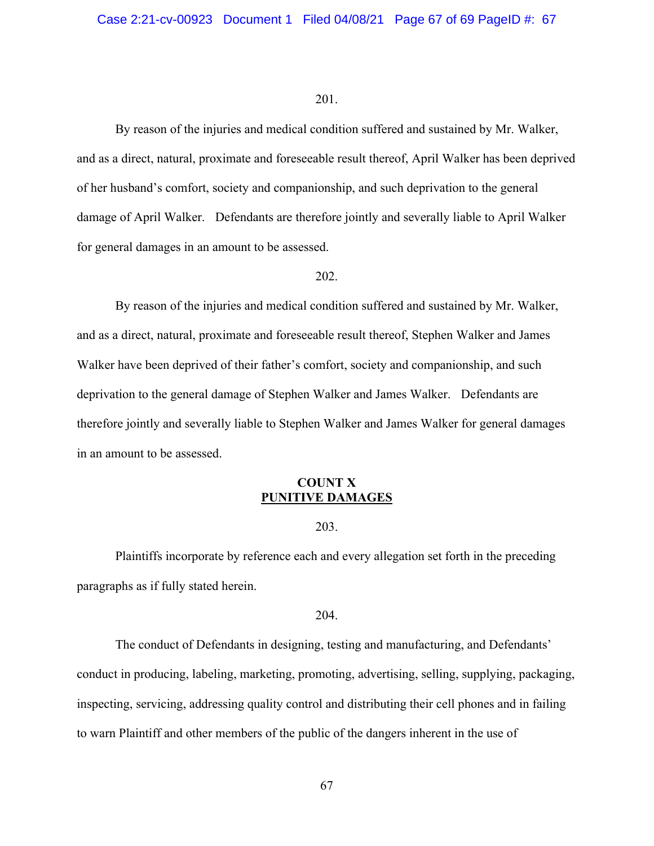By reason of the injuries and medical condition suffered and sustained by Mr. Walker, and as a direct, natural, proximate and foreseeable result thereof, April Walker has been deprived of her husband's comfort, society and companionship, and such deprivation to the general damage of April Walker. Defendants are therefore jointly and severally liable to April Walker for general damages in an amount to be assessed.

## 202.

By reason of the injuries and medical condition suffered and sustained by Mr. Walker, and as a direct, natural, proximate and foreseeable result thereof, Stephen Walker and James Walker have been deprived of their father's comfort, society and companionship, and such deprivation to the general damage of Stephen Walker and James Walker. Defendants are therefore jointly and severally liable to Stephen Walker and James Walker for general damages in an amount to be assessed.

## **COUNT X PUNITIVE DAMAGES**

### 203.

Plaintiffs incorporate by reference each and every allegation set forth in the preceding paragraphs as if fully stated herein.

#### 204.

The conduct of Defendants in designing, testing and manufacturing, and Defendants' conduct in producing, labeling, marketing, promoting, advertising, selling, supplying, packaging, inspecting, servicing, addressing quality control and distributing their cell phones and in failing to warn Plaintiff and other members of the public of the dangers inherent in the use of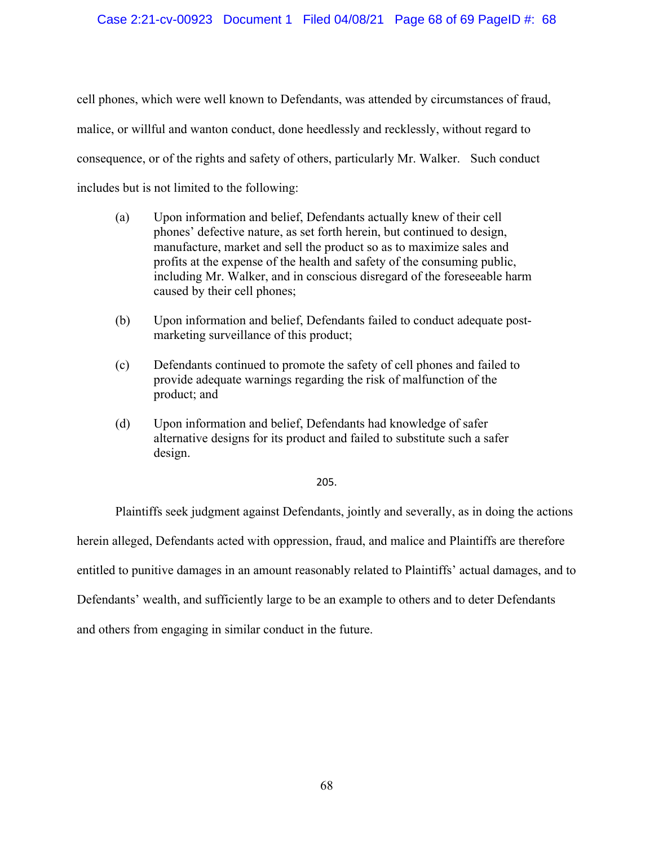cell phones, which were well known to Defendants, was attended by circumstances of fraud, malice, or willful and wanton conduct, done heedlessly and recklessly, without regard to consequence, or of the rights and safety of others, particularly Mr. Walker. Such conduct includes but is not limited to the following:

- (a) Upon information and belief, Defendants actually knew of their cell phones' defective nature, as set forth herein, but continued to design, manufacture, market and sell the product so as to maximize sales and profits at the expense of the health and safety of the consuming public, including Mr. Walker, and in conscious disregard of the foreseeable harm caused by their cell phones;
- (b) Upon information and belief, Defendants failed to conduct adequate postmarketing surveillance of this product;
- (c) Defendants continued to promote the safety of cell phones and failed to provide adequate warnings regarding the risk of malfunction of the product; and
- (d) Upon information and belief, Defendants had knowledge of safer alternative designs for its product and failed to substitute such a safer design.

## 205.

Plaintiffs seek judgment against Defendants, jointly and severally, as in doing the actions

herein alleged, Defendants acted with oppression, fraud, and malice and Plaintiffs are therefore

entitled to punitive damages in an amount reasonably related to Plaintiffs' actual damages, and to

Defendants' wealth, and sufficiently large to be an example to others and to deter Defendants

and others from engaging in similar conduct in the future.